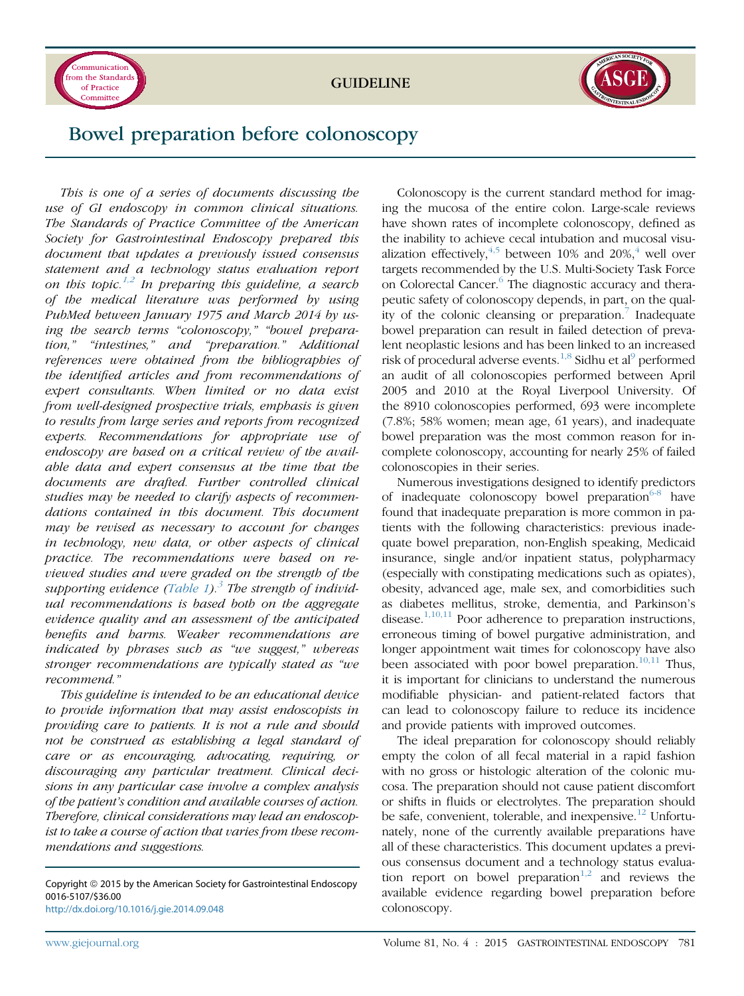



# Bowel preparation before colonoscopy

This is one of a series of documents discussing the use of GI endoscopy in common clinical situations. The Standards of Practice Committee of the American Society for Gastrointestinal Endoscopy prepared this document that updates a previously issued consensus statement and a technology status evaluation report on this topic.<sup>[1,2](#page-9-0)</sup> In preparing this guideline, a search of the medical literature was performed by using PubMed between January 1975 and March 2014 by using the search terms "colonoscopy," "bowel preparation," "intestines," and "preparation." Additional references were obtained from the bibliographies of the identified articles and from recommendations of expert consultants. When limited or no data exist from well-designed prospective trials, emphasis is given to results from large series and reports from recognized experts. Recommendations for appropriate use of endoscopy are based on a critical review of the available data and expert consensus at the time that the documents are drafted. Further controlled clinical studies may be needed to clarify aspects of recommendations contained in this document. This document may be revised as necessary to account for changes in technology, new data, or other aspects of clinical practice. The recommendations were based on reviewed studies and were graded on the strength of the supporting evidence [\(Table 1](#page-1-0)).<sup>[3](#page-9-0)</sup> The strength of individual recommendations is based both on the aggregate evidence quality and an assessment of the anticipated benefits and harms. Weaker recommendations are indicated by phrases such as "we suggest," whereas stronger recommendations are typically stated as "we recommend."

This guideline is intended to be an educational device to provide information that may assist endoscopists in providing care to patients. It is not a rule and should not be construed as establishing a legal standard of care or as encouraging, advocating, requiring, or discouraging any particular treatment. Clinical decisions in any particular case involve a complex analysis of the patient's condition and available courses of action. Therefore, clinical considerations may lead an endoscopist to take a course of action that varies from these recommendations and suggestions.

Copyright © 2015 by the American Society for Gastrointestinal Endoscopy 0016-5107/\$36.00 <http://dx.doi.org/10.1016/j.gie.2014.09.048>

Colonoscopy is the current standard method for imaging the mucosa of the entire colon. Large-scale reviews have shown rates of incomplete colonoscopy, defined as the inability to achieve cecal intubation and mucosal visualization effectively,  $4.5$  $4.5$  between 10% and 20%, <sup>4</sup> well over targets recommended by the U.S. Multi-Society Task Force on Colorectal Cancer.<sup>[6](#page-9-0)</sup> The diagnostic accuracy and therapeutic safety of colonoscopy depends, in part, on the qual-ity of the colonic cleansing or preparation.<sup>[7](#page-9-0)</sup> Inadequate bowel preparation can result in failed detection of prevalent neoplastic lesions and has been linked to an increased risk of procedural adverse events.<sup>[1,8](#page-9-0)</sup> Sidhu et al<sup>[9](#page-9-0)</sup> performed an audit of all colonoscopies performed between April 2005 and 2010 at the Royal Liverpool University. Of the 8910 colonoscopies performed, 693 were incomplete (7.8%; 58% women; mean age, 61 years), and inadequate bowel preparation was the most common reason for incomplete colonoscopy, accounting for nearly 25% of failed colonoscopies in their series.

Numerous investigations designed to identify predictors of inadequate colonoscopy bowel preparation<sup> $6-8$ </sup> have found that inadequate preparation is more common in patients with the following characteristics: previous inadequate bowel preparation, non-English speaking, Medicaid insurance, single and/or inpatient status, polypharmacy (especially with constipating medications such as opiates), obesity, advanced age, male sex, and comorbidities such as diabetes mellitus, stroke, dementia, and Parkinson's disease.<sup>[1,10,11](#page-9-0)</sup> Poor adherence to preparation instructions, erroneous timing of bowel purgative administration, and longer appointment wait times for colonoscopy have also been associated with poor bowel preparation.<sup>[10,11](#page-9-0)</sup> Thus, it is important for clinicians to understand the numerous modifiable physician- and patient-related factors that can lead to colonoscopy failure to reduce its incidence and provide patients with improved outcomes.

The ideal preparation for colonoscopy should reliably empty the colon of all fecal material in a rapid fashion with no gross or histologic alteration of the colonic mucosa. The preparation should not cause patient discomfort or shifts in fluids or electrolytes. The preparation should be safe, convenient, tolerable, and inexpensive.<sup>[12](#page-9-0)</sup> Unfortunately, none of the currently available preparations have all of these characteristics. This document updates a previous consensus document and a technology status evalua-tion report on bowel preparation<sup>[1,2](#page-9-0)</sup> and reviews the available evidence regarding bowel preparation before colonoscopy.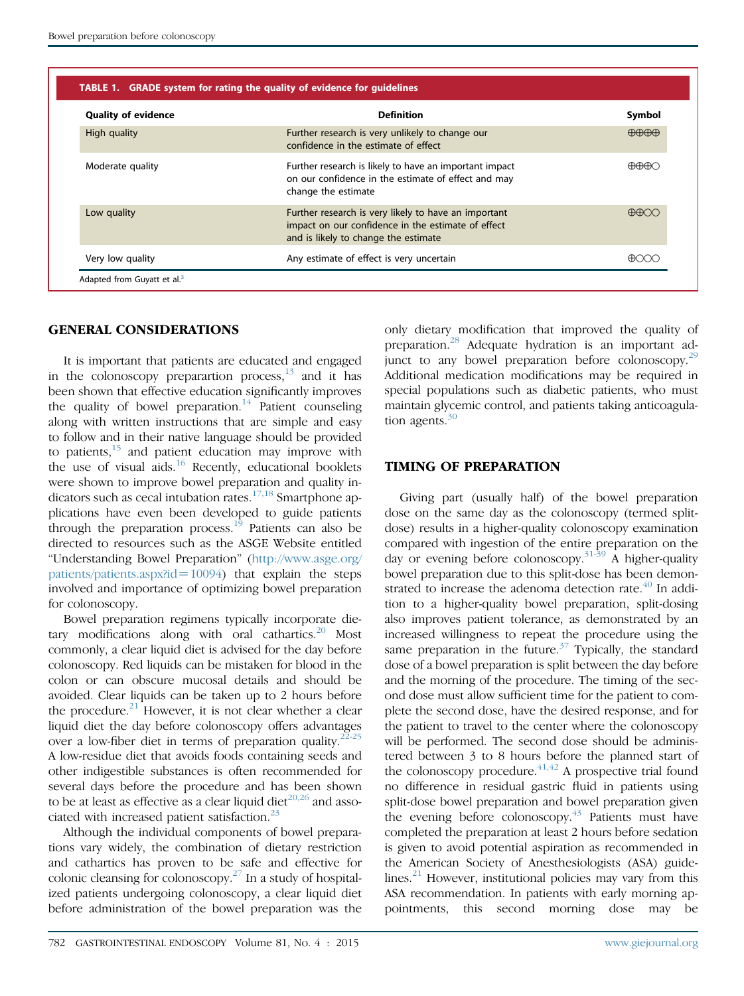<span id="page-1-0"></span>

| <b>Quality of evidence</b> | <b>Definition</b>                                                                                                                                  | Symbol                                    |
|----------------------------|----------------------------------------------------------------------------------------------------------------------------------------------------|-------------------------------------------|
| High quality               | Further research is very unlikely to change our<br>confidence in the estimate of effect                                                            | $\bigoplus \bigoplus \bigoplus \bigoplus$ |
| Moderate quality           | Further research is likely to have an important impact<br>on our confidence in the estimate of effect and may<br>change the estimate               | <del>MMA</del> C                          |
| Low quality                | Further research is very likely to have an important<br>impact on our confidence in the estimate of effect<br>and is likely to change the estimate | $\bigoplus\bigoplus\bigcirc$              |
| Very low quality           | Any estimate of effect is very uncertain                                                                                                           | കുറ                                       |

# GENERAL CONSIDERATIONS

It is important that patients are educated and engaged in the colonoscopy preparartion process, $^{13}$  $^{13}$  $^{13}$  and it has been shown that effective education significantly improves the quality of bowel preparation.<sup>[14](#page-9-0)</sup> Patient counseling along with written instructions that are simple and easy to follow and in their native language should be provided to patients, $15$  and patient education may improve with the use of visual aids.[16](#page-9-0) Recently, educational booklets were shown to improve bowel preparation and quality indicators such as cecal intubation rates.<sup>17,18</sup> Smartphone applications have even been developed to guide patients through the preparation process.<sup>[19](#page-9-0)</sup> Patients can also be directed to resources such as the ASGE Website entitled "Understanding Bowel Preparation" ([http://www.asge.org/](http://www.asge.org/patients/patients.aspx?id=10094) [patients/patients.aspx?id](http://www.asge.org/patients/patients.aspx?id=10094)= $10094$ ) that explain the steps involved and importance of optimizing bowel preparation for colonoscopy.

Bowel preparation regimens typically incorporate die-tary modifications along with oral cathartics.<sup>[20](#page-9-0)</sup> Most commonly, a clear liquid diet is advised for the day before colonoscopy. Red liquids can be mistaken for blood in the colon or can obscure mucosal details and should be avoided. Clear liquids can be taken up to 2 hours before the procedure. $21$  However, it is not clear whether a clear liquid diet the day before colonoscopy offers advantages over a low-fiber diet in terms of preparation quality.<sup>[22-25](#page-9-0)</sup> A low-residue diet that avoids foods containing seeds and other indigestible substances is often recommended for several days before the procedure and has been shown to be at least as effective as a clear liquid diet $^{20,26}$  $^{20,26}$  $^{20,26}$  and asso-ciated with increased patient satisfaction.<sup>[23](#page-10-0)</sup>

Although the individual components of bowel preparations vary widely, the combination of dietary restriction and cathartics has proven to be safe and effective for colonic cleansing for colonoscopy. $27$  In a study of hospitalized patients undergoing colonoscopy, a clear liquid diet before administration of the bowel preparation was the

only dietary modification that improved the quality of preparation.<sup>[28](#page-10-0)</sup> Adequate hydration is an important adjunct to any bowel preparation before colonoscopy. $^{29}$  $^{29}$  $^{29}$ Additional medication modifications may be required in special populations such as diabetic patients, who must maintain glycemic control, and patients taking anticoagulation agents. $30$ 

# TIMING OF PREPARATION

Giving part (usually half) of the bowel preparation dose on the same day as the colonoscopy (termed splitdose) results in a higher-quality colonoscopy examination compared with ingestion of the entire preparation on the day or evening before colonoscopy.<sup>[31-39](#page-10-0)</sup> A higher-quality bowel preparation due to this split-dose has been demon-strated to increase the adenoma detection rate.<sup>[40](#page-10-0)</sup> In addition to a higher-quality bowel preparation, split-dosing also improves patient tolerance, as demonstrated by an increased willingness to repeat the procedure using the same preparation in the future. $37$  Typically, the standard dose of a bowel preparation is split between the day before and the morning of the procedure. The timing of the second dose must allow sufficient time for the patient to complete the second dose, have the desired response, and for the patient to travel to the center where the colonoscopy will be performed. The second dose should be administered between 3 to 8 hours before the planned start of the colonoscopy procedure. $41,42$  A prospective trial found no difference in residual gastric fluid in patients using split-dose bowel preparation and bowel preparation given the evening before colonoscopy. $43$  Patients must have completed the preparation at least 2 hours before sedation is given to avoid potential aspiration as recommended in the American Society of Anesthesiologists (ASA) guidelines. $^{21}$  $^{21}$  $^{21}$  However, institutional policies may vary from this ASA recommendation. In patients with early morning appointments, this second morning dose may be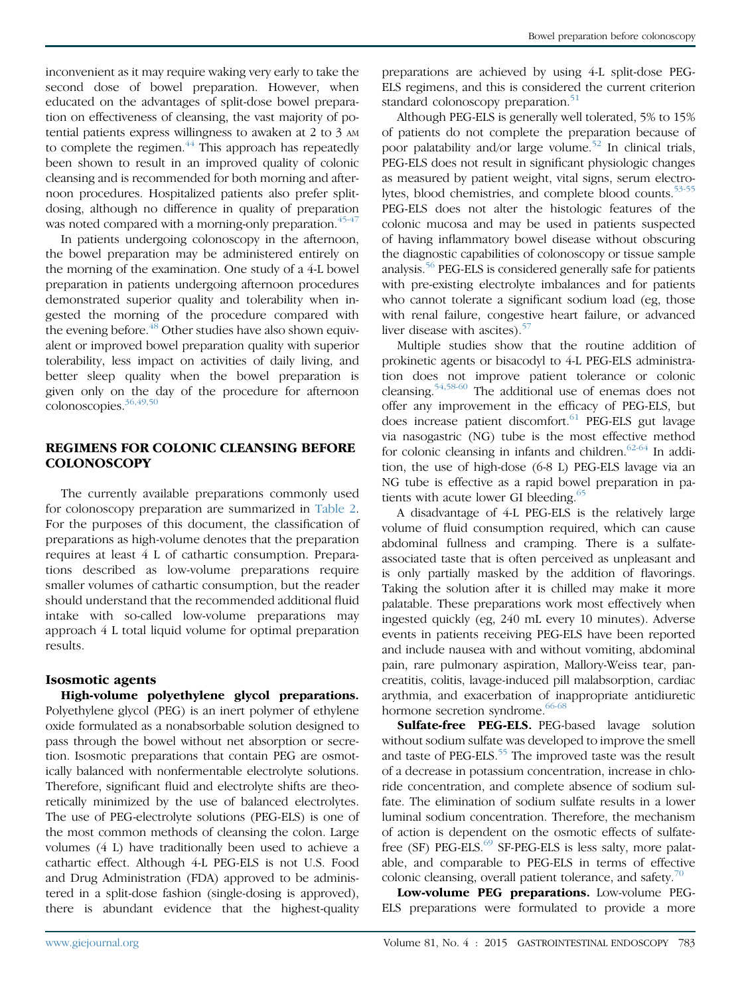inconvenient as it may require waking very early to take the second dose of bowel preparation. However, when educated on the advantages of split-dose bowel preparation on effectiveness of cleansing, the vast majority of potential patients express willingness to awaken at 2 to 3 AM to complete the regimen.<sup>[44](#page-10-0)</sup> This approach has repeatedly been shown to result in an improved quality of colonic cleansing and is recommended for both morning and afternoon procedures. Hospitalized patients also prefer splitdosing, although no difference in quality of preparation was noted compared with a morning-only preparation.  $45-47$ 

In patients undergoing colonoscopy in the afternoon, the bowel preparation may be administered entirely on the morning of the examination. One study of a 4-L bowel preparation in patients undergoing afternoon procedures demonstrated superior quality and tolerability when ingested the morning of the procedure compared with the evening before.<sup>[48](#page-10-0)</sup> Other studies have also shown equivalent or improved bowel preparation quality with superior tolerability, less impact on activities of daily living, and better sleep quality when the bowel preparation is given only on the day of the procedure for afternoon colonoscopies.[36,49,50](#page-10-0)

# REGIMENS FOR COLONIC CLEANSING BEFORE **COLONOSCOPY**

The currently available preparations commonly used for colonoscopy preparation are summarized in [Table 2.](#page-3-0) For the purposes of this document, the classification of preparations as high-volume denotes that the preparation requires at least 4 L of cathartic consumption. Preparations described as low-volume preparations require smaller volumes of cathartic consumption, but the reader should understand that the recommended additional fluid intake with so-called low-volume preparations may approach 4 L total liquid volume for optimal preparation results.

# Isosmotic agents

High-volume polyethylene glycol preparations. Polyethylene glycol (PEG) is an inert polymer of ethylene oxide formulated as a nonabsorbable solution designed to pass through the bowel without net absorption or secretion. Isosmotic preparations that contain PEG are osmotically balanced with nonfermentable electrolyte solutions. Therefore, significant fluid and electrolyte shifts are theoretically minimized by the use of balanced electrolytes. The use of PEG-electrolyte solutions (PEG-ELS) is one of the most common methods of cleansing the colon. Large volumes (4 L) have traditionally been used to achieve a cathartic effect. Although 4-L PEG-ELS is not U.S. Food and Drug Administration (FDA) approved to be administered in a split-dose fashion (single-dosing is approved), there is abundant evidence that the highest-quality

preparations are achieved by using 4-L split-dose PEG-ELS regimens, and this is considered the current criterion standard colonoscopy preparation.<sup>[51](#page-10-0)</sup>

Although PEG-ELS is generally well tolerated, 5% to 15% of patients do not complete the preparation because of poor palatability and/or large volume.<sup>[52](#page-10-0)</sup> In clinical trials, PEG-ELS does not result in significant physiologic changes as measured by patient weight, vital signs, serum electro-lytes, blood chemistries, and complete blood counts.<sup>[53-55](#page-10-0)</sup> PEG-ELS does not alter the histologic features of the colonic mucosa and may be used in patients suspected of having inflammatory bowel disease without obscuring the diagnostic capabilities of colonoscopy or tissue sample analysis.<sup>[56](#page-10-0)</sup> PEG-ELS is considered generally safe for patients with pre-existing electrolyte imbalances and for patients who cannot tolerate a significant sodium load (eg, those with renal failure, congestive heart failure, or advanced liver disease with ascites). $57$ 

Multiple studies show that the routine addition of prokinetic agents or bisacodyl to 4-L PEG-ELS administration does not improve patient tolerance or colonic cleansing.[54,58-60](#page-10-0) The additional use of enemas does not offer any improvement in the efficacy of PEG-ELS, but does increase patient discomfort. $61$  PEG-ELS gut lavage via nasogastric (NG) tube is the most effective method for colonic cleansing in infants and children.<sup>[62-64](#page-10-0)</sup> In addition, the use of high-dose (6-8 L) PEG-ELS lavage via an NG tube is effective as a rapid bowel preparation in patients with acute lower GI bleeding. $65$ 

A disadvantage of 4-L PEG-ELS is the relatively large volume of fluid consumption required, which can cause abdominal fullness and cramping. There is a sulfateassociated taste that is often perceived as unpleasant and is only partially masked by the addition of flavorings. Taking the solution after it is chilled may make it more palatable. These preparations work most effectively when ingested quickly (eg, 240 mL every 10 minutes). Adverse events in patients receiving PEG-ELS have been reported and include nausea with and without vomiting, abdominal pain, rare pulmonary aspiration, Mallory-Weiss tear, pancreatitis, colitis, lavage-induced pill malabsorption, cardiac arythmia, and exacerbation of inappropriate antidiuretic hormone secretion syndrome.<sup>[66-68](#page-11-0)</sup>

Sulfate-free PEG-ELS. PEG-based lavage solution without sodium sulfate was developed to improve the smell and taste of PEG-ELS.<sup>[55](#page-10-0)</sup> The improved taste was the result of a decrease in potassium concentration, increase in chloride concentration, and complete absence of sodium sulfate. The elimination of sodium sulfate results in a lower luminal sodium concentration. Therefore, the mechanism of action is dependent on the osmotic effects of sulfate-free (SF) PEG-ELS.<sup>[69](#page-11-0)</sup> SF-PEG-ELS is less salty, more palatable, and comparable to PEG-ELS in terms of effective colonic cleansing, overall patient tolerance, and safety. $\frac{70}{2}$  $\frac{70}{2}$  $\frac{70}{2}$ 

Low-volume PEG preparations. Low-volume PEG-ELS preparations were formulated to provide a more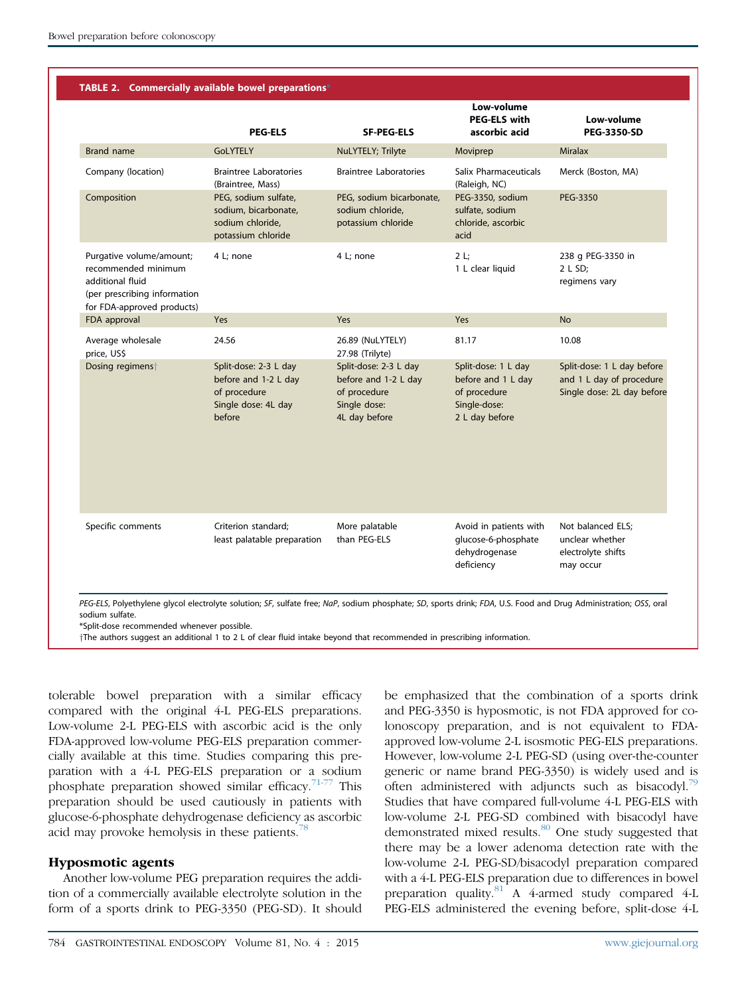<span id="page-3-0"></span>

|                                                                                                                                   | <b>PEG-ELS</b>                                                                                 | <b>SF-PEG-ELS</b>                                                                              | Low-volume<br><b>PEG-ELS with</b><br>ascorbic acid                                          | Low-volume<br><b>PEG-3350-SD</b>                                                     |
|-----------------------------------------------------------------------------------------------------------------------------------|------------------------------------------------------------------------------------------------|------------------------------------------------------------------------------------------------|---------------------------------------------------------------------------------------------|--------------------------------------------------------------------------------------|
| <b>Brand name</b>                                                                                                                 | <b>GoLYTELY</b>                                                                                | NuLYTELY; Trilyte                                                                              | Moviprep                                                                                    | <b>Miralax</b>                                                                       |
| Company (location)                                                                                                                | <b>Braintree Laboratories</b><br>(Braintree, Mass)                                             | <b>Braintree Laboratories</b>                                                                  | Salix Pharmaceuticals<br>(Raleigh, NC)                                                      | Merck (Boston, MA)                                                                   |
| Composition                                                                                                                       | PEG, sodium sulfate,<br>sodium, bicarbonate,<br>sodium chloride,<br>potassium chloride         | PEG, sodium bicarbonate,<br>sodium chloride.<br>potassium chloride                             | PEG-3350, sodium<br>sulfate, sodium<br>chloride, ascorbic<br>acid                           | PEG-3350                                                                             |
| Purgative volume/amount;<br>recommended minimum<br>additional fluid<br>(per prescribing information<br>for FDA-approved products) | 4 L; none                                                                                      | 4 L; none                                                                                      | 2L<br>1 L clear liquid                                                                      | 238 g PEG-3350 in<br>2 L SD;<br>regimens vary                                        |
| FDA approval                                                                                                                      | <b>Yes</b>                                                                                     | Yes                                                                                            | Yes                                                                                         | <b>No</b>                                                                            |
| Average wholesale<br>price, US\$                                                                                                  | 24.56                                                                                          | 26.89 (NuLYTELY)<br>27.98 (Trilyte)                                                            | 81.17                                                                                       | 10.08                                                                                |
| Dosing regimens <sup>+</sup>                                                                                                      | Split-dose: 2-3 L day<br>before and 1-2 L day<br>of procedure<br>Single dose: 4L day<br>before | Split-dose: 2-3 L day<br>before and 1-2 L day<br>of procedure<br>Single dose:<br>4L day before | Split-dose: 1 L day<br>before and 1 L day<br>of procedure<br>Single-dose:<br>2 L day before | Split-dose: 1 L day before<br>and 1 L day of procedure<br>Single dose: 2L day before |
| Specific comments                                                                                                                 | Criterion standard;<br>least palatable preparation                                             | More palatable<br>than PEG-ELS                                                                 | Avoid in patients with<br>glucose-6-phosphate<br>dehydrogenase<br>deficiency                | Not balanced ELS;<br>unclear whether<br>electrolyte shifts<br>may occur              |

\*Split-dose recommended whenever possible.

yThe authors suggest an additional 1 to 2 L of clear fluid intake beyond that recommended in prescribing information.

tolerable bowel preparation with a similar efficacy compared with the original 4-L PEG-ELS preparations. Low-volume 2-L PEG-ELS with ascorbic acid is the only FDA-approved low-volume PEG-ELS preparation commercially available at this time. Studies comparing this preparation with a 4-L PEG-ELS preparation or a sodium phosphate preparation showed similar efficacy.<sup>[71-77](#page-11-0)</sup> This preparation should be used cautiously in patients with glucose-6-phosphate dehydrogenase deficiency as ascorbic acid may provoke hemolysis in these patients.<sup>78</sup>

#### Hyposmotic agents

Another low-volume PEG preparation requires the addition of a commercially available electrolyte solution in the form of a sports drink to PEG-3350 (PEG-SD). It should be emphasized that the combination of a sports drink and PEG-3350 is hyposmotic, is not FDA approved for colonoscopy preparation, and is not equivalent to FDAapproved low-volume 2-L isosmotic PEG-ELS preparations. However, low-volume 2-L PEG-SD (using over-the-counter generic or name brand PEG-3350) is widely used and is often administered with adjuncts such as bisacodyl.<sup>[79](#page-11-0)</sup> Studies that have compared full-volume 4-L PEG-ELS with low-volume 2-L PEG-SD combined with bisacodyl have demonstrated mixed results.<sup>[80](#page-11-0)</sup> One study suggested that there may be a lower adenoma detection rate with the low-volume 2-L PEG-SD/bisacodyl preparation compared with a 4-L PEG-ELS preparation due to differences in bowel preparation quality. $81$  A 4-armed study compared 4-L PEG-ELS administered the evening before, split-dose 4-L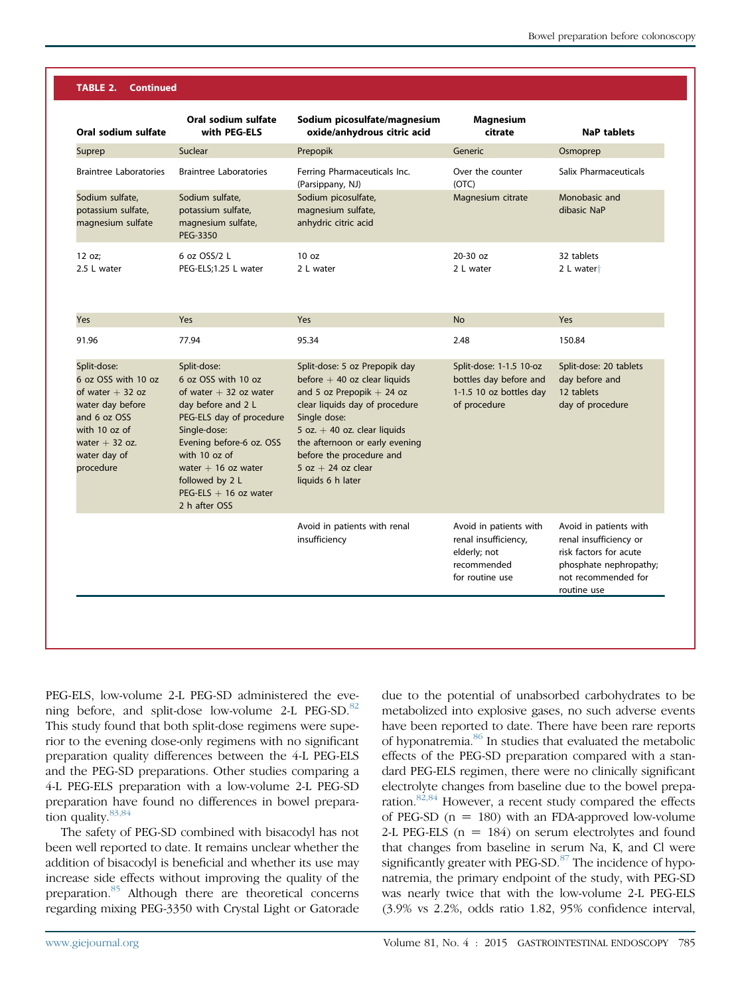| Oral sodium sulfate                                                                                                                                                                                                                                                                                                                                                                                                                  | Oral sodium sulfate<br>with PEG-ELS                                                                                                                                                                                                                                                             | Sodium picosulfate/magnesium<br>oxide/anhydrous citric acid                                  | <b>Magnesium</b><br>citrate                                                                      | <b>NaP tablets</b>                                                                                                                         |
|--------------------------------------------------------------------------------------------------------------------------------------------------------------------------------------------------------------------------------------------------------------------------------------------------------------------------------------------------------------------------------------------------------------------------------------|-------------------------------------------------------------------------------------------------------------------------------------------------------------------------------------------------------------------------------------------------------------------------------------------------|----------------------------------------------------------------------------------------------|--------------------------------------------------------------------------------------------------|--------------------------------------------------------------------------------------------------------------------------------------------|
| Suprep                                                                                                                                                                                                                                                                                                                                                                                                                               | Suclear                                                                                                                                                                                                                                                                                         | Prepopik                                                                                     | Generic                                                                                          | Osmoprep                                                                                                                                   |
| <b>Braintree Laboratories</b>                                                                                                                                                                                                                                                                                                                                                                                                        | <b>Braintree Laboratories</b>                                                                                                                                                                                                                                                                   | Ferring Pharmaceuticals Inc.<br>(Parsippany, NJ)                                             | Over the counter<br>(OTC)                                                                        | Salix Pharmaceuticals                                                                                                                      |
| Sodium sulfate,<br>potassium sulfate,<br>magnesium sulfate                                                                                                                                                                                                                                                                                                                                                                           | Sodium sulfate,<br>potassium sulfate,<br>magnesium sulfate,<br>PEG-3350                                                                                                                                                                                                                         | Sodium picosulfate,<br>magnesium sulfate,<br>anhydric citric acid                            | Magnesium citrate                                                                                | Monobasic and<br>dibasic NaP                                                                                                               |
| 12 oz;<br>2.5 L water                                                                                                                                                                                                                                                                                                                                                                                                                | 6 oz OSS/2 L<br>PEG-ELS;1.25 L water                                                                                                                                                                                                                                                            | 10 <sub>oz</sub><br>2 L water                                                                | $20 - 30$ oz<br>2 L water                                                                        | 32 tablets<br>2 L water <sup>+</sup>                                                                                                       |
| Yes                                                                                                                                                                                                                                                                                                                                                                                                                                  | Yes                                                                                                                                                                                                                                                                                             | Yes                                                                                          | <b>No</b>                                                                                        | Yes                                                                                                                                        |
| 91.96                                                                                                                                                                                                                                                                                                                                                                                                                                | 77.94                                                                                                                                                                                                                                                                                           | 95.34                                                                                        | 2.48                                                                                             | 150.84                                                                                                                                     |
| Split-dose:<br>Split-dose:<br>6 oz OSS with 10 oz<br>6 oz OSS with 10 oz<br>of water $+32$ oz<br>of water $+32$ oz water<br>water day before<br>day before and 2 L<br>and 6 oz OSS<br>PEG-ELS day of procedure<br>with 10 oz of<br>Single-dose:<br>Evening before-6 oz. OSS<br>water $+32$ oz.<br>with 10 oz of<br>water day of<br>procedure<br>water $+$ 16 oz water<br>followed by 2 L<br>PEG-ELS $+$ 16 oz water<br>2 h after OSS | Split-dose: 5 oz Prepopik day<br>before $+$ 40 oz clear liquids<br>and 5 oz Prepopik $+$ 24 oz<br>clear liquids day of procedure<br>Single dose:<br>5 oz. $+$ 40 oz. clear liquids<br>the afternoon or early evening<br>before the procedure and<br>$5$ oz $+$ 24 oz clear<br>liquids 6 h later | Split-dose: 1-1.5 10-oz<br>bottles day before and<br>1-1.5 10 oz bottles day<br>of procedure | Split-dose: 20 tablets<br>day before and<br>12 tablets<br>day of procedure                       |                                                                                                                                            |
|                                                                                                                                                                                                                                                                                                                                                                                                                                      |                                                                                                                                                                                                                                                                                                 | Avoid in patients with renal<br>insufficiency                                                | Avoid in patients with<br>renal insufficiency,<br>elderly; not<br>recommended<br>for routine use | Avoid in patients with<br>renal insufficiency or<br>risk factors for acute<br>phosphate nephropathy;<br>not recommended for<br>routine use |

PEG-ELS, low-volume 2-L PEG-SD administered the eve-ning before, and split-dose low-volume 2-L PEG-SD.<sup>[82](#page-11-0)</sup> This study found that both split-dose regimens were superior to the evening dose-only regimens with no significant preparation quality differences between the 4-L PEG-ELS and the PEG-SD preparations. Other studies comparing a 4-L PEG-ELS preparation with a low-volume 2-L PEG-SD preparation have found no differences in bowel preparation quality. $83,84$ 

The safety of PEG-SD combined with bisacodyl has not been well reported to date. It remains unclear whether the addition of bisacodyl is beneficial and whether its use may increase side effects without improving the quality of the preparation.[85](#page-11-0) Although there are theoretical concerns regarding mixing PEG-3350 with Crystal Light or Gatorade

due to the potential of unabsorbed carbohydrates to be metabolized into explosive gases, no such adverse events have been reported to date. There have been rare reports of hyponatremia.<sup>[86](#page-11-0)</sup> In studies that evaluated the metabolic effects of the PEG-SD preparation compared with a standard PEG-ELS regimen, there were no clinically significant electrolyte changes from baseline due to the bowel preparation. $82,84$  However, a recent study compared the effects of PEG-SD  $(n = 180)$  with an FDA-approved low-volume 2-L PEG-ELS  $(n = 184)$  on serum electrolytes and found that changes from baseline in serum Na, K, and Cl were significantly greater with PEG-SD.<sup>[87](#page-11-0)</sup> The incidence of hyponatremia, the primary endpoint of the study, with PEG-SD was nearly twice that with the low-volume 2-L PEG-ELS (3.9% vs 2.2%, odds ratio 1.82, 95% confidence interval,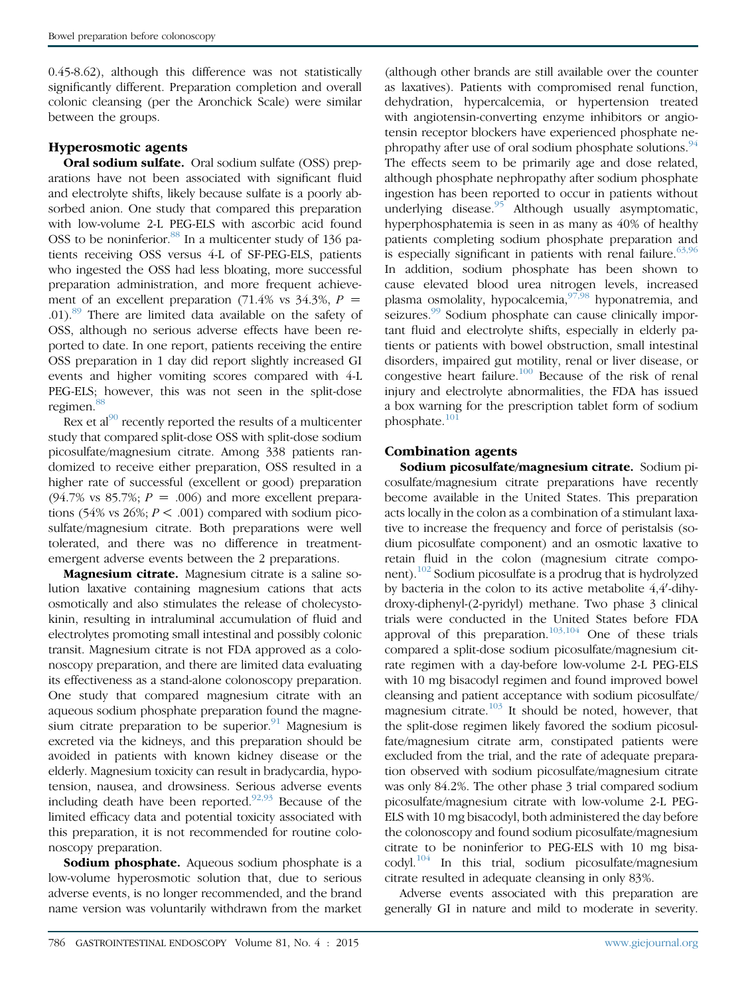0.45-8.62), although this difference was not statistically significantly different. Preparation completion and overall colonic cleansing (per the Aronchick Scale) were similar between the groups.

# Hyperosmotic agents

Oral sodium sulfate. Oral sodium sulfate (OSS) preparations have not been associated with significant fluid and electrolyte shifts, likely because sulfate is a poorly absorbed anion. One study that compared this preparation with low-volume 2-L PEG-ELS with ascorbic acid found OSS to be noninferior.<sup>[88](#page-11-0)</sup> In a multicenter study of 136 patients receiving OSS versus 4-L of SF-PEG-ELS, patients who ingested the OSS had less bloating, more successful preparation administration, and more frequent achievement of an excellent preparation (71.4% vs 34.3%,  $P =$ .01).[89](#page-11-0) There are limited data available on the safety of OSS, although no serious adverse effects have been reported to date. In one report, patients receiving the entire OSS preparation in 1 day did report slightly increased GI events and higher vomiting scores compared with 4-L PEG-ELS; however, this was not seen in the split-dose regimen.<sup>[88](#page-11-0)</sup>

Rex et al $90$  recently reported the results of a multicenter study that compared split-dose OSS with split-dose sodium picosulfate/magnesium citrate. Among 338 patients randomized to receive either preparation, OSS resulted in a higher rate of successful (excellent or good) preparation (94.7% vs 85.7%;  $P = .006$ ) and more excellent preparations (54% vs 26%;  $P < .001$ ) compared with sodium picosulfate/magnesium citrate. Both preparations were well tolerated, and there was no difference in treatmentemergent adverse events between the 2 preparations.

**Magnesium citrate.** Magnesium citrate is a saline solution laxative containing magnesium cations that acts osmotically and also stimulates the release of cholecystokinin, resulting in intraluminal accumulation of fluid and electrolytes promoting small intestinal and possibly colonic transit. Magnesium citrate is not FDA approved as a colonoscopy preparation, and there are limited data evaluating its effectiveness as a stand-alone colonoscopy preparation. One study that compared magnesium citrate with an aqueous sodium phosphate preparation found the magnesium citrate preparation to be superior. $91$  Magnesium is excreted via the kidneys, and this preparation should be avoided in patients with known kidney disease or the elderly. Magnesium toxicity can result in bradycardia, hypotension, nausea, and drowsiness. Serious adverse events including death have been reported. $92,93$  Because of the limited efficacy data and potential toxicity associated with this preparation, it is not recommended for routine colonoscopy preparation.

Sodium phosphate. Aqueous sodium phosphate is a low-volume hyperosmotic solution that, due to serious adverse events, is no longer recommended, and the brand name version was voluntarily withdrawn from the market (although other brands are still available over the counter as laxatives). Patients with compromised renal function, dehydration, hypercalcemia, or hypertension treated with angiotensin-converting enzyme inhibitors or angiotensin receptor blockers have experienced phosphate ne-phropathy after use of oral sodium phosphate solutions.<sup>[94](#page-11-0)</sup> The effects seem to be primarily age and dose related, although phosphate nephropathy after sodium phosphate ingestion has been reported to occur in patients without underlying disease.<sup>[95](#page-11-0)</sup> Although usually asymptomatic, hyperphosphatemia is seen in as many as 40% of healthy patients completing sodium phosphate preparation and is especially significant in patients with renal failure. $63,96$ In addition, sodium phosphate has been shown to cause elevated blood urea nitrogen levels, increased plasma osmolality, hypocalcemia, $97,98$  hyponatremia, and seizures.<sup>[99](#page-11-0)</sup> Sodium phosphate can cause clinically important fluid and electrolyte shifts, especially in elderly patients or patients with bowel obstruction, small intestinal disorders, impaired gut motility, renal or liver disease, or congestive heart failure.<sup>[100](#page-11-0)</sup> Because of the risk of renal injury and electrolyte abnormalities, the FDA has issued a box warning for the prescription tablet form of sodium phosphate. $101$ 

## Combination agents

Sodium picosulfate/magnesium citrate. Sodium picosulfate/magnesium citrate preparations have recently become available in the United States. This preparation acts locally in the colon as a combination of a stimulant laxative to increase the frequency and force of peristalsis (sodium picosulfate component) and an osmotic laxative to retain fluid in the colon (magnesium citrate component).[102](#page-11-0) Sodium picosulfate is a prodrug that is hydrolyzed by bacteria in the colon to its active metabolite 4,4'-dihydroxy-diphenyl-(2-pyridyl) methane. Two phase 3 clinical trials were conducted in the United States before FDA approval of this preparation.<sup>[103,104](#page-11-0)</sup> One of these trials compared a split-dose sodium picosulfate/magnesium citrate regimen with a day-before low-volume 2-L PEG-ELS with 10 mg bisacodyl regimen and found improved bowel cleansing and patient acceptance with sodium picosulfate/ magnesium citrate.[103](#page-11-0) It should be noted, however, that the split-dose regimen likely favored the sodium picosulfate/magnesium citrate arm, constipated patients were excluded from the trial, and the rate of adequate preparation observed with sodium picosulfate/magnesium citrate was only 84.2%. The other phase 3 trial compared sodium picosulfate/magnesium citrate with low-volume 2-L PEG-ELS with 10 mg bisacodyl, both administered the day before the colonoscopy and found sodium picosulfate/magnesium citrate to be noninferior to PEG-ELS with 10 mg bisa-codyl.<sup>[104](#page-11-0)</sup> In this trial, sodium picosulfate/magnesium citrate resulted in adequate cleansing in only 83%.

Adverse events associated with this preparation are generally GI in nature and mild to moderate in severity.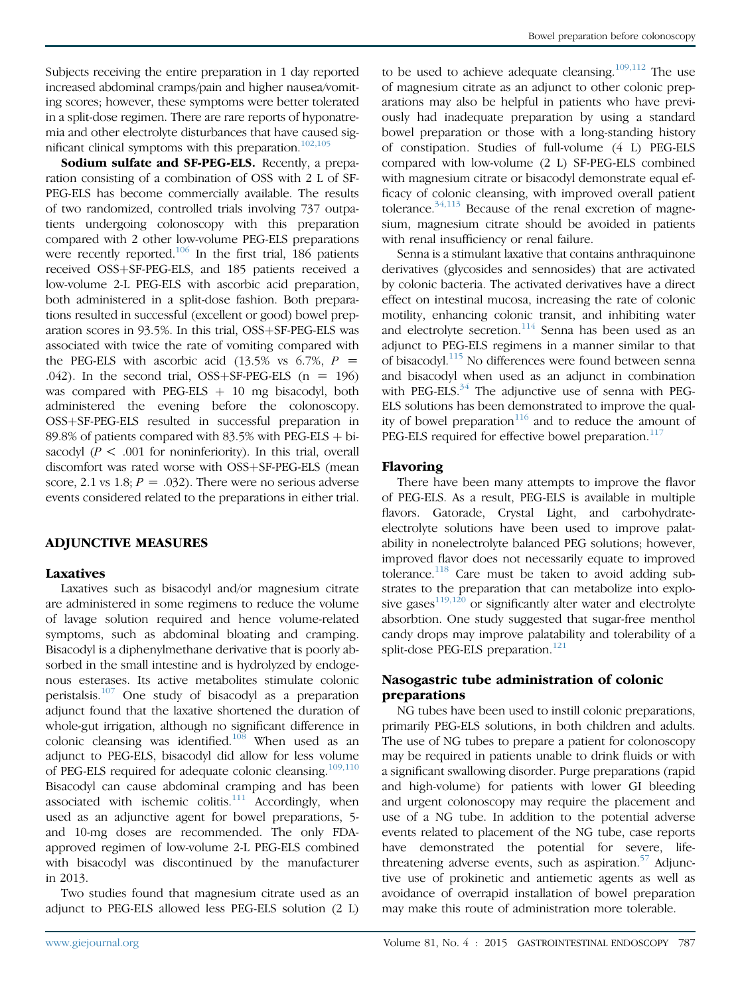Subjects receiving the entire preparation in 1 day reported increased abdominal cramps/pain and higher nausea/vomiting scores; however, these symptoms were better tolerated in a split-dose regimen. There are rare reports of hyponatremia and other electrolyte disturbances that have caused significant clinical symptoms with this preparation. $102,105$ 

Sodium sulfate and SF-PEG-ELS. Recently, a preparation consisting of a combination of OSS with 2 L of SF-PEG-ELS has become commercially available. The results of two randomized, controlled trials involving 737 outpatients undergoing colonoscopy with this preparation compared with 2 other low-volume PEG-ELS preparations were recently reported.<sup>[106](#page-12-0)</sup> In the first trial, 186 patients received OSS+SF-PEG-ELS, and 185 patients received a low-volume 2-L PEG-ELS with ascorbic acid preparation, both administered in a split-dose fashion. Both preparations resulted in successful (excellent or good) bowel preparation scores in 93.5%. In this trial, OSS+SF-PEG-ELS was associated with twice the rate of vomiting compared with the PEG-ELS with ascorbic acid (13.5% vs 6.7%,  $P =$ .042). In the second trial,  $OSS+SF-PEG-ELS$  (n = 196) was compared with PEG-ELS  $+$  10 mg bisacodyl, both administered the evening before the colonoscopy. OSS+SF-PEG-ELS resulted in successful preparation in 89.8% of patients compared with 83.5% with PEG-ELS  $+$  bisacodyl ( $P < .001$  for noninferiority). In this trial, overall discomfort was rated worse with OSS+SF-PEG-ELS (mean score, 2.1 vs 1.8;  $P = .032$ ). There were no serious adverse events considered related to the preparations in either trial.

# ADJUNCTIVE MEASURES

#### Laxatives

Laxatives such as bisacodyl and/or magnesium citrate are administered in some regimens to reduce the volume of lavage solution required and hence volume-related symptoms, such as abdominal bloating and cramping. Bisacodyl is a diphenylmethane derivative that is poorly absorbed in the small intestine and is hydrolyzed by endogenous esterases. Its active metabolites stimulate colonic peristalsis[.107](#page-12-0) One study of bisacodyl as a preparation adjunct found that the laxative shortened the duration of whole-gut irrigation, although no significant difference in colonic cleansing was identified.<sup>[108](#page-12-0)</sup> When used as an adjunct to PEG-ELS, bisacodyl did allow for less volume of PEG-ELS required for adequate colonic cleansing.<sup>[109,110](#page-12-0)</sup> Bisacodyl can cause abdominal cramping and has been associated with ischemic colitis. $111$  Accordingly, when used as an adjunctive agent for bowel preparations, 5 and 10-mg doses are recommended. The only FDAapproved regimen of low-volume 2-L PEG-ELS combined with bisacodyl was discontinued by the manufacturer in 2013.

Two studies found that magnesium citrate used as an adjunct to PEG-ELS allowed less PEG-ELS solution (2 L) to be used to achieve adequate cleansing.<sup>[109,112](#page-12-0)</sup> The use of magnesium citrate as an adjunct to other colonic preparations may also be helpful in patients who have previously had inadequate preparation by using a standard bowel preparation or those with a long-standing history of constipation. Studies of full-volume (4 L) PEG-ELS compared with low-volume (2 L) SF-PEG-ELS combined with magnesium citrate or bisacodyl demonstrate equal efficacy of colonic cleansing, with improved overall patient tolerance. $34,113$  Because of the renal excretion of magnesium, magnesium citrate should be avoided in patients with renal insufficiency or renal failure.

Senna is a stimulant laxative that contains anthraquinone derivatives (glycosides and sennosides) that are activated by colonic bacteria. The activated derivatives have a direct effect on intestinal mucosa, increasing the rate of colonic motility, enhancing colonic transit, and inhibiting water and electrolyte secretion. $114$  Senna has been used as an adjunct to PEG-ELS regimens in a manner similar to that of bisacodyl.<sup>[115](#page-12-0)</sup> No differences were found between senna and bisacodyl when used as an adjunct in combination with PEG-ELS. $34$  The adjunctive use of senna with PEG-ELS solutions has been demonstrated to improve the qual-ity of bowel preparation<sup>[116](#page-12-0)</sup> and to reduce the amount of PEG-ELS required for effective bowel preparation.<sup>[117](#page-12-0)</sup>

## Flavoring

There have been many attempts to improve the flavor of PEG-ELS. As a result, PEG-ELS is available in multiple flavors. Gatorade, Crystal Light, and carbohydrateelectrolyte solutions have been used to improve palatability in nonelectrolyte balanced PEG solutions; however, improved flavor does not necessarily equate to improved tolerance. $^{118}$  $^{118}$  $^{118}$  Care must be taken to avoid adding substrates to the preparation that can metabolize into explosive gases $119,120$  or significantly alter water and electrolyte absorbtion. One study suggested that sugar-free menthol candy drops may improve palatability and tolerability of a split-dose PEG-ELS preparation.<sup>[121](#page-12-0)</sup>

# Nasogastric tube administration of colonic preparations

NG tubes have been used to instill colonic preparations, primarily PEG-ELS solutions, in both children and adults. The use of NG tubes to prepare a patient for colonoscopy may be required in patients unable to drink fluids or with a significant swallowing disorder. Purge preparations (rapid and high-volume) for patients with lower GI bleeding and urgent colonoscopy may require the placement and use of a NG tube. In addition to the potential adverse events related to placement of the NG tube, case reports have demonstrated the potential for severe, lifethreatening adverse events, such as aspiration. $57$  Adjunctive use of prokinetic and antiemetic agents as well as avoidance of overrapid installation of bowel preparation may make this route of administration more tolerable.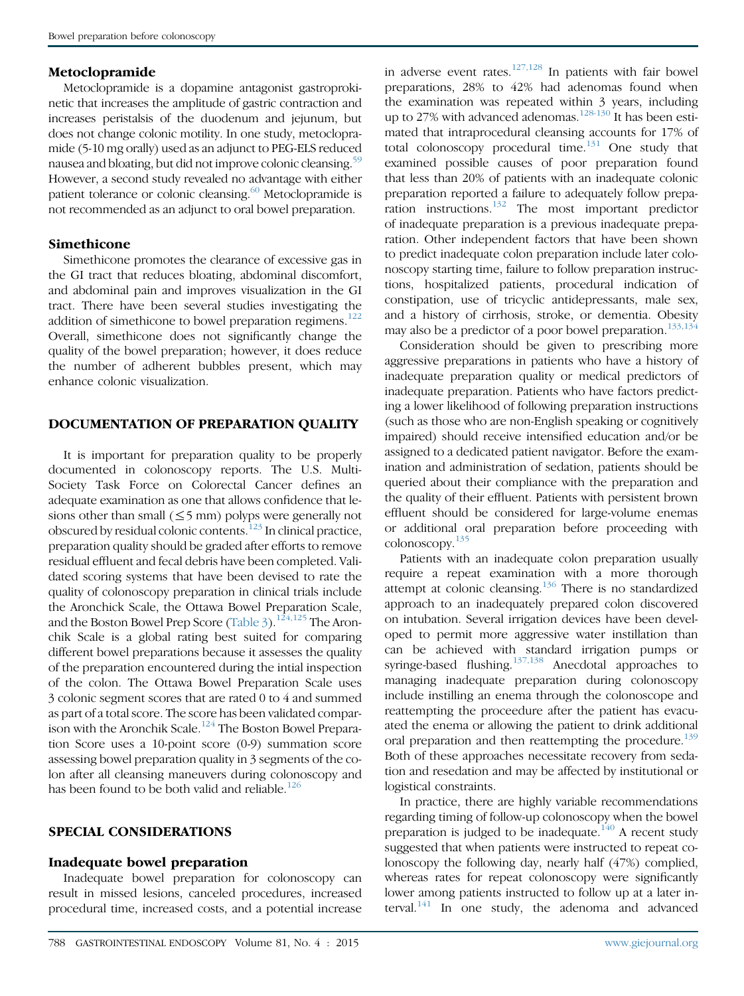## Metoclopramide

Metoclopramide is a dopamine antagonist gastroprokinetic that increases the amplitude of gastric contraction and increases peristalsis of the duodenum and jejunum, but does not change colonic motility. In one study, metoclopramide (5-10 mg orally) used as an adjunct to PEG-ELS reduced nausea and bloating, but did not improve colonic cleansing.<sup>59</sup> However, a second study revealed no advantage with either patient tolerance or colonic cleansing.<sup>60</sup> Metoclopramide is not recommended as an adjunct to oral bowel preparation.

## Simethicone

Simethicone promotes the clearance of excessive gas in the GI tract that reduces bloating, abdominal discomfort, and abdominal pain and improves visualization in the GI tract. There have been several studies investigating the addition of simethicone to bowel preparation regimens.<sup>[122](#page-12-0)</sup> Overall, simethicone does not significantly change the quality of the bowel preparation; however, it does reduce the number of adherent bubbles present, which may enhance colonic visualization.

## DOCUMENTATION OF PREPARATION QUALITY

It is important for preparation quality to be properly documented in colonoscopy reports. The U.S. Multi-Society Task Force on Colorectal Cancer defines an adequate examination as one that allows confidence that lesions other than small  $(\leq 5$  mm) polyps were generally not obscured by residual colonic contents[.123](#page-12-0) In clinical practice, preparation quality should be graded after efforts to remove residual effluent and fecal debris have been completed. Validated scoring systems that have been devised to rate the quality of colonoscopy preparation in clinical trials include the Aronchick Scale, the Ottawa Bowel Preparation Scale, and the Boston Bowel Prep Score [\(Table 3\)](#page-8-0).<sup>[124,125](#page-12-0)</sup> The Aronchik Scale is a global rating best suited for comparing different bowel preparations because it assesses the quality of the preparation encountered during the intial inspection of the colon. The Ottawa Bowel Preparation Scale uses 3 colonic segment scores that are rated 0 to 4 and summed as part of a total score. The score has been validated compar-ison with the Aronchik Scale.<sup>[124](#page-12-0)</sup> The Boston Bowel Preparation Score uses a 10-point score (0-9) summation score assessing bowel preparation quality in 3 segments of the colon after all cleansing maneuvers during colonoscopy and has been found to be both valid and reliable.<sup>[126](#page-12-0)</sup>

#### SPECIAL CONSIDERATIONS

# Inadequate bowel preparation

Inadequate bowel preparation for colonoscopy can result in missed lesions, canceled procedures, increased procedural time, increased costs, and a potential increase in adverse event rates.<sup>[127,128](#page-12-0)</sup> In patients with fair bowel preparations, 28% to 42% had adenomas found when the examination was repeated within 3 years, including up to 27% with advanced adenomas.<sup>[128-130](#page-12-0)</sup> It has been estimated that intraprocedural cleansing accounts for 17% of total colonoscopy procedural time.<sup>[131](#page-12-0)</sup> One study that examined possible causes of poor preparation found that less than 20% of patients with an inadequate colonic preparation reported a failure to adequately follow preparation instructions. $^{132}$  $^{132}$  $^{132}$  The most important predictor of inadequate preparation is a previous inadequate preparation. Other independent factors that have been shown to predict inadequate colon preparation include later colonoscopy starting time, failure to follow preparation instructions, hospitalized patients, procedural indication of constipation, use of tricyclic antidepressants, male sex, and a history of cirrhosis, stroke, or dementia. Obesity may also be a predictor of a poor bowel preparation.<sup>[133,134](#page-12-0)</sup>

Consideration should be given to prescribing more aggressive preparations in patients who have a history of inadequate preparation quality or medical predictors of inadequate preparation. Patients who have factors predicting a lower likelihood of following preparation instructions (such as those who are non-English speaking or cognitively impaired) should receive intensified education and/or be assigned to a dedicated patient navigator. Before the examination and administration of sedation, patients should be queried about their compliance with the preparation and the quality of their effluent. Patients with persistent brown effluent should be considered for large-volume enemas or additional oral preparation before proceeding with colonoscopy.[135](#page-12-0)

Patients with an inadequate colon preparation usually require a repeat examination with a more thorough attempt at colonic cleansing.<sup>[136](#page-12-0)</sup> There is no standardized approach to an inadequately prepared colon discovered on intubation. Several irrigation devices have been developed to permit more aggressive water instillation than can be achieved with standard irrigation pumps or syringe-based flushing. $137,138$  Anecdotal approaches to managing inadequate preparation during colonoscopy include instilling an enema through the colonoscope and reattempting the proceedure after the patient has evacuated the enema or allowing the patient to drink additional oral preparation and then reattempting the procedure.<sup>[139](#page-12-0)</sup> Both of these approaches necessitate recovery from sedation and resedation and may be affected by institutional or logistical constraints.

In practice, there are highly variable recommendations regarding timing of follow-up colonoscopy when the bowel preparation is judged to be inadequate.<sup>[140](#page-12-0)</sup> A recent study suggested that when patients were instructed to repeat colonoscopy the following day, nearly half (47%) complied, whereas rates for repeat colonoscopy were significantly lower among patients instructed to follow up at a later interval. $141$  In one study, the adenoma and advanced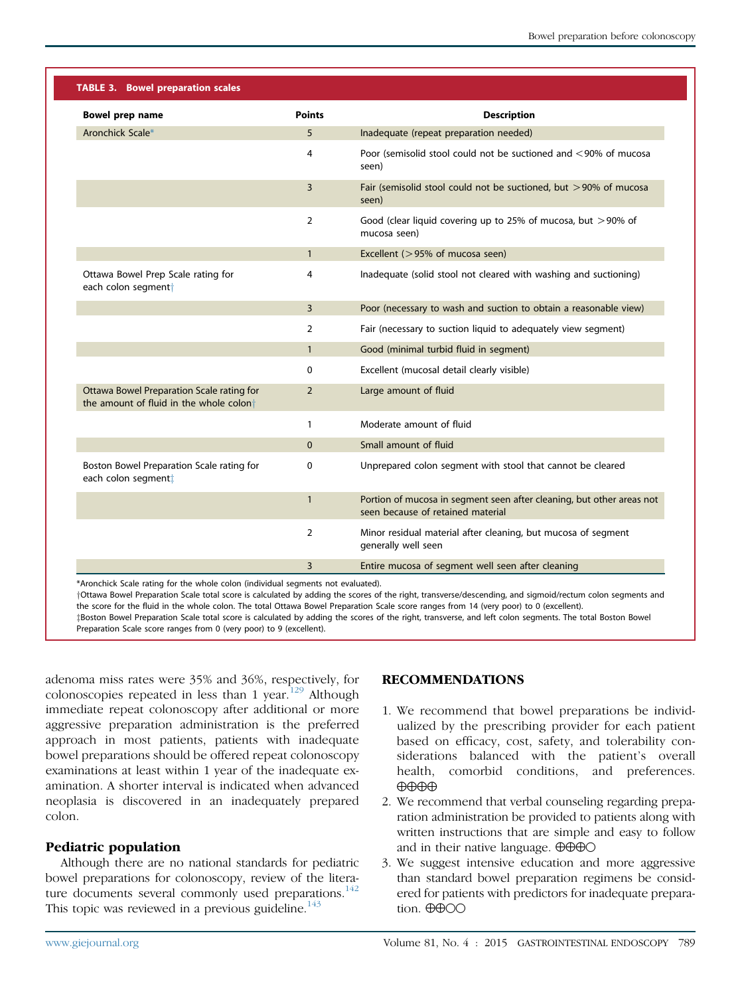<span id="page-8-0"></span>

| <b>Bowel prep name</b>                                                                           | <b>Points</b>  | <b>Description</b>                                                                                         |
|--------------------------------------------------------------------------------------------------|----------------|------------------------------------------------------------------------------------------------------------|
| Aronchick Scale*                                                                                 | 5              | Inadequate (repeat preparation needed)                                                                     |
|                                                                                                  | 4              | Poor (semisolid stool could not be suctioned and <90% of mucosa<br>seen)                                   |
|                                                                                                  | $\overline{3}$ | Fair (semisolid stool could not be suctioned, but $>$ 90% of mucosa<br>seen)                               |
|                                                                                                  | $\overline{2}$ | Good (clear liquid covering up to 25% of mucosa, but $>$ 90% of<br>mucosa seen)                            |
|                                                                                                  | $\mathbf{1}$   | Excellent ( $>95%$ of mucosa seen)                                                                         |
| Ottawa Bowel Prep Scale rating for<br>each colon segment                                         | 4              | Inadequate (solid stool not cleared with washing and suctioning)                                           |
|                                                                                                  | $\overline{3}$ | Poor (necessary to wash and suction to obtain a reasonable view)                                           |
|                                                                                                  | $\overline{2}$ | Fair (necessary to suction liquid to adequately view segment)                                              |
|                                                                                                  | $\mathbf{1}$   | Good (minimal turbid fluid in segment)                                                                     |
|                                                                                                  | $\Omega$       | Excellent (mucosal detail clearly visible)                                                                 |
| Ottawa Bowel Preparation Scale rating for<br>the amount of fluid in the whole colon <sup>+</sup> | $\overline{2}$ | Large amount of fluid                                                                                      |
|                                                                                                  | $\mathbf{1}$   | Moderate amount of fluid                                                                                   |
|                                                                                                  | $\mathbf{0}$   | Small amount of fluid                                                                                      |
| Boston Bowel Preparation Scale rating for<br>each colon segment:                                 | $\Omega$       | Unprepared colon segment with stool that cannot be cleared                                                 |
|                                                                                                  | $\mathbf{1}$   | Portion of mucosa in segment seen after cleaning, but other areas not<br>seen because of retained material |
|                                                                                                  | 2              | Minor residual material after cleaning, but mucosa of segment<br>generally well seen                       |
|                                                                                                  | 3              | Entire mucosa of segment well seen after cleaning                                                          |

yOttawa Bowel Preparation Scale total score is calculated by adding the scores of the right, transverse/descending, and sigmoid/rectum colon segments and the score for the fluid in the whole colon. The total Ottawa Bowel Preparation Scale score ranges from 14 (very poor) to 0 (excellent). zBoston Bowel Preparation Scale total score is calculated by adding the scores of the right, transverse, and left colon segments. The total Boston Bowel

Preparation Scale score ranges from 0 (very poor) to 9 (excellent).

adenoma miss rates were 35% and 36%, respectively, for colonoscopies repeated in less than  $1$  year.<sup>[129](#page-12-0)</sup> Although immediate repeat colonoscopy after additional or more aggressive preparation administration is the preferred approach in most patients, patients with inadequate bowel preparations should be offered repeat colonoscopy examinations at least within 1 year of the inadequate examination. A shorter interval is indicated when advanced neoplasia is discovered in an inadequately prepared colon.

# Pediatric population

Although there are no national standards for pediatric bowel preparations for colonoscopy, review of the litera-ture documents several commonly used preparations.<sup>[142](#page-12-0)</sup> This topic was reviewed in a previous guideline. $143$ 

# RECOMMENDATIONS

- 1. We recommend that bowel preparations be individualized by the prescribing provider for each patient based on efficacy, cost, safety, and tolerability considerations balanced with the patient's overall health, comorbid conditions, and preferences.  $\oplus$  $\oplus$  $\oplus$
- 2. We recommend that verbal counseling regarding preparation administration be provided to patients along with written instructions that are simple and easy to follow and in their native language.  $\oplus \oplus \oplus \odot$
- 3. We suggest intensive education and more aggressive than standard bowel preparation regimens be considered for patients with predictors for inadequate preparation.  $\oplus$ OO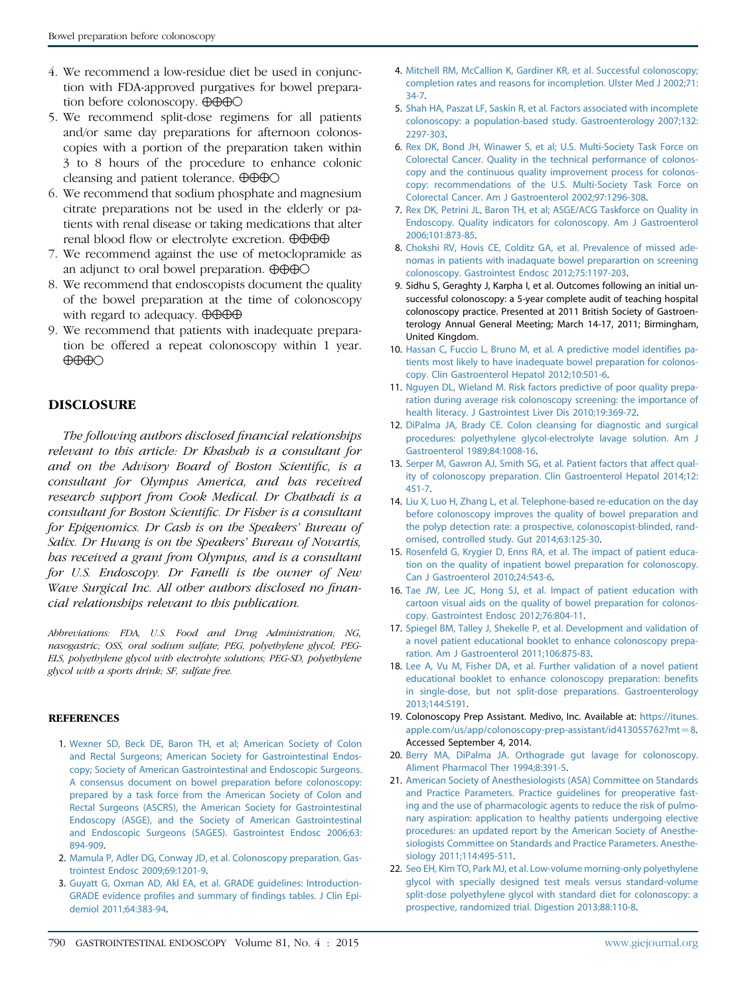- <span id="page-9-0"></span>4. We recommend a low-residue diet be used in conjunction with FDA-approved purgatives for bowel preparation before colonoscopy.  $\oplus \oplus \oplus \odot$
- 5. We recommend split-dose regimens for all patients and/or same day preparations for afternoon colonoscopies with a portion of the preparation taken within 3 to 8 hours of the procedure to enhance colonic cleansing and patient tolerance.  $\oplus \oplus \oplus \odot$
- 6. We recommend that sodium phosphate and magnesium citrate preparations not be used in the elderly or patients with renal disease or taking medications that alter renal blood flow or electrolyte excretion.  $\oplus \oplus \oplus$
- 7. We recommend against the use of metoclopramide as an adjunct to oral bowel preparation.  $\oplus \oplus \oplus \odot$
- 8. We recommend that endoscopists document the quality of the bowel preparation at the time of colonoscopy with regard to adequacy.  $\Theta \Theta \Theta$
- 9. We recommend that patients with inadequate preparation be offered a repeat colonoscopy within 1 year.  $\bigoplus \bigoplus \bigoplus \bigcap$

## DISCLOSURE

The following authors disclosed financial relationships relevant to this article: Dr Khashab is a consultant for and on the Advisory Board of Boston Scientific, is a consultant for Olympus America, and has received research support from Cook Medical. Dr Chathadi is a consultant for Boston Scientific. Dr Fisher is a consultant for Epigenomics. Dr Cash is on the Speakers' Bureau of Salix. Dr Hwang is on the Speakers' Bureau of Novartis, has received a grant from Olympus, and is a consultant for U.S. Endoscopy. Dr Fanelli is the owner of New Wave Surgical Inc. All other authors disclosed no financial relationships relevant to this publication.

Abbreviations: FDA, U.S. Food and Drug Administration; NG, nasogastric; OSS, oral sodium sulfate; PEG, polyethylene glycol; PEG-ELS, polyethylene glycol with electrolyte solutions; PEG-SD, polyethylene glycol with a sports drink; SF, sulfate free.

#### **REFERENCES**

- 1. [Wexner SD, Beck DE, Baron TH, et al; American Society of Colon](http://refhub.elsevier.com/S0016-5107(14)02268-8/sref1) [and Rectal Surgeons; American Society for Gastrointestinal Endos](http://refhub.elsevier.com/S0016-5107(14)02268-8/sref1)[copy; Society of American Gastrointestinal and Endoscopic Surgeons.](http://refhub.elsevier.com/S0016-5107(14)02268-8/sref1) [A consensus document on bowel preparation before colonoscopy:](http://refhub.elsevier.com/S0016-5107(14)02268-8/sref1) [prepared by a task force from the American Society of Colon and](http://refhub.elsevier.com/S0016-5107(14)02268-8/sref1) [Rectal Surgeons \(ASCRS\), the American Society for Gastrointestinal](http://refhub.elsevier.com/S0016-5107(14)02268-8/sref1) [Endoscopy \(ASGE\), and the Society of American Gastrointestinal](http://refhub.elsevier.com/S0016-5107(14)02268-8/sref1) [and Endoscopic Surgeons \(SAGES\). Gastrointest Endosc 2006;63:](http://refhub.elsevier.com/S0016-5107(14)02268-8/sref1) [894-909](http://refhub.elsevier.com/S0016-5107(14)02268-8/sref1).
- 2. [Mamula P, Adler DG, Conway JD, et al. Colonoscopy preparation. Gas](http://refhub.elsevier.com/S0016-5107(14)02268-8/sref2)[trointest Endosc 2009;69:1201-9.](http://refhub.elsevier.com/S0016-5107(14)02268-8/sref2)
- 3. [Guyatt G, Oxman AD, Akl EA, et al. GRADE guidelines: Introduction-](http://refhub.elsevier.com/S0016-5107(14)02268-8/sref3)[GRADE evidence profiles and summary of findings tables. J Clin Epi](http://refhub.elsevier.com/S0016-5107(14)02268-8/sref3)[demiol 2011;64:383-94.](http://refhub.elsevier.com/S0016-5107(14)02268-8/sref3)
- 4. [Mitchell RM, McCallion K, Gardiner KR, et al. Successful colonoscopy;](http://refhub.elsevier.com/S0016-5107(14)02268-8/sref4) [completion rates and reasons for incompletion. Ulster Med J 2002;71:](http://refhub.elsevier.com/S0016-5107(14)02268-8/sref4) [34-7.](http://refhub.elsevier.com/S0016-5107(14)02268-8/sref4)
- 5. [Shah HA, Paszat LF, Saskin R, et al. Factors associated with incomplete](http://refhub.elsevier.com/S0016-5107(14)02268-8/sref5) [colonoscopy: a population-based study. Gastroenterology 2007;132:](http://refhub.elsevier.com/S0016-5107(14)02268-8/sref5) [2297-303](http://refhub.elsevier.com/S0016-5107(14)02268-8/sref5).
- 6. [Rex DK, Bond JH, Winawer S, et al; U.S. Multi-Society Task Force on](http://refhub.elsevier.com/S0016-5107(14)02268-8/sref6) [Colorectal Cancer. Quality in the technical performance of colonos](http://refhub.elsevier.com/S0016-5107(14)02268-8/sref6)[copy and the continuous quality improvement process for colonos](http://refhub.elsevier.com/S0016-5107(14)02268-8/sref6)[copy: recommendations of the U.S. Multi-Society Task Force on](http://refhub.elsevier.com/S0016-5107(14)02268-8/sref6) [Colorectal Cancer. Am J Gastroenterol 2002;97:1296-308.](http://refhub.elsevier.com/S0016-5107(14)02268-8/sref6)
- 7. [Rex DK, Petrini JL, Baron TH, et al; ASGE/ACG Taskforce on Quality in](http://refhub.elsevier.com/S0016-5107(14)02268-8/sref7) [Endoscopy. Quality indicators for colonoscopy. Am J Gastroenterol](http://refhub.elsevier.com/S0016-5107(14)02268-8/sref7) [2006;101:873-85](http://refhub.elsevier.com/S0016-5107(14)02268-8/sref7).
- 8. [Chokshi RV, Hovis CE, Colditz GA, et al. Prevalence of missed ade](http://refhub.elsevier.com/S0016-5107(14)02268-8/sref8)[nomas in patients with inadaquate bowel preparartion on screening](http://refhub.elsevier.com/S0016-5107(14)02268-8/sref8) [colonoscopy. Gastrointest Endosc 2012;75:1197-203.](http://refhub.elsevier.com/S0016-5107(14)02268-8/sref8)
- 9. Sidhu S, Geraghty J, Karpha I, et al. Outcomes following an initial unsuccessful colonoscopy: a 5-year complete audit of teaching hospital colonoscopy practice. Presented at 2011 British Society of Gastroenterology Annual General Meeting; March 14-17, 2011; Birmingham, United Kingdom.
- 10. [Hassan C, Fuccio L, Bruno M, et al. A predictive model identifies pa](http://refhub.elsevier.com/S0016-5107(14)02268-8/sref9)[tients most likely to have inadequate bowel preparation for colonos](http://refhub.elsevier.com/S0016-5107(14)02268-8/sref9)[copy. Clin Gastroenterol Hepatol 2012;10:501-6](http://refhub.elsevier.com/S0016-5107(14)02268-8/sref9).
- 11. [Nguyen DL, Wieland M. Risk factors predictive of poor quality prepa](http://refhub.elsevier.com/S0016-5107(14)02268-8/sref10)[ration during average risk colonoscopy screening: the importance of](http://refhub.elsevier.com/S0016-5107(14)02268-8/sref10) [health literacy. J Gastrointest Liver Dis 2010;19:369-72.](http://refhub.elsevier.com/S0016-5107(14)02268-8/sref10)
- 12. [DiPalma JA, Brady CE. Colon cleansing for diagnostic and surgical](http://refhub.elsevier.com/S0016-5107(14)02268-8/sref11) [procedures: polyethylene glycol-electrolyte lavage solution. Am J](http://refhub.elsevier.com/S0016-5107(14)02268-8/sref11) [Gastroenterol 1989;84:1008-16](http://refhub.elsevier.com/S0016-5107(14)02268-8/sref11).
- 13. [Serper M, Gawron AJ, Smith SG, et al. Patient factors that affect qual](http://refhub.elsevier.com/S0016-5107(14)02268-8/sref12)[ity of colonoscopy preparation. Clin Gastroenterol Hepatol 2014;12:](http://refhub.elsevier.com/S0016-5107(14)02268-8/sref12) [451-7.](http://refhub.elsevier.com/S0016-5107(14)02268-8/sref12)
- 14. [Liu X, Luo H, Zhang L, et al. Telephone-based re-education on the day](http://refhub.elsevier.com/S0016-5107(14)02268-8/sref13) [before colonoscopy improves the quality of bowel preparation and](http://refhub.elsevier.com/S0016-5107(14)02268-8/sref13) [the polyp detection rate: a prospective, colonoscopist-blinded, rand](http://refhub.elsevier.com/S0016-5107(14)02268-8/sref13)[omised, controlled study. Gut 2014;63:125-30.](http://refhub.elsevier.com/S0016-5107(14)02268-8/sref13)
- 15. [Rosenfeld G, Krygier D, Enns RA, et al. The impact of patient educa](http://refhub.elsevier.com/S0016-5107(14)02268-8/sref14)[tion on the quality of inpatient bowel preparation for colonoscopy.](http://refhub.elsevier.com/S0016-5107(14)02268-8/sref14) [Can J Gastroenterol 2010;24:543-6](http://refhub.elsevier.com/S0016-5107(14)02268-8/sref14).
- 16. [Tae JW, Lee JC, Hong SJ, et al. Impact of patient education with](http://refhub.elsevier.com/S0016-5107(14)02268-8/sref15) [cartoon visual aids on the quality of bowel preparation for colonos](http://refhub.elsevier.com/S0016-5107(14)02268-8/sref15)[copy. Gastrointest Endosc 2012;76:804-11.](http://refhub.elsevier.com/S0016-5107(14)02268-8/sref15)
- 17. [Spiegel BM, Talley J, Shekelle P, et al. Development and validation of](http://refhub.elsevier.com/S0016-5107(14)02268-8/sref16) [a novel patient educational booklet to enhance colonoscopy prepa](http://refhub.elsevier.com/S0016-5107(14)02268-8/sref16)[ration. Am J Gastroenterol 2011;106:875-83.](http://refhub.elsevier.com/S0016-5107(14)02268-8/sref16)
- 18. [Lee A, Vu M, Fisher DA, et al. Further validation of a novel patient](http://refhub.elsevier.com/S0016-5107(14)02268-8/sref17) [educational booklet to enhance colonoscopy preparation: benefits](http://refhub.elsevier.com/S0016-5107(14)02268-8/sref17) [in single-dose, but not split-dose preparations. Gastroenterology](http://refhub.elsevier.com/S0016-5107(14)02268-8/sref17) [2013;144:S191.](http://refhub.elsevier.com/S0016-5107(14)02268-8/sref17)
- 19. Colonoscopy Prep Assistant. Medivo, Inc. Available at: [https://itunes.](https://itunes.apple.com/us/app/colonoscopy-prep-assistant/id413055762?mt=8)  $apple.com/us/app/colonoscopy-prep-assistant/idd413055762?mt=8.$ Accessed September 4, 2014.
- 20. [Berry MA, DiPalma JA. Orthograde gut lavage for colonoscopy.](http://refhub.elsevier.com/S0016-5107(14)02268-8/sref18) [Aliment Pharmacol Ther 1994;8:391-5](http://refhub.elsevier.com/S0016-5107(14)02268-8/sref18).
- 21. [American Society of Anesthesiologists \(ASA\) Committee on Standards](http://refhub.elsevier.com/S0016-5107(14)02268-8/sref19) [and Practice Parameters. Practice guidelines for preoperative fast](http://refhub.elsevier.com/S0016-5107(14)02268-8/sref19)[ing and the use of pharmacologic agents to reduce the risk of pulmo](http://refhub.elsevier.com/S0016-5107(14)02268-8/sref19)[nary aspiration: application to healthy patients undergoing elective](http://refhub.elsevier.com/S0016-5107(14)02268-8/sref19) [procedures: an updated report by the American Society of Anesthe](http://refhub.elsevier.com/S0016-5107(14)02268-8/sref19)[siologists Committee on Standards and Practice Parameters. Anesthe](http://refhub.elsevier.com/S0016-5107(14)02268-8/sref19)[siology 2011;114:495-511.](http://refhub.elsevier.com/S0016-5107(14)02268-8/sref19)
- 22. [Seo EH, Kim TO, Park MJ, et al. Low-volume morning-only polyethylene](http://refhub.elsevier.com/S0016-5107(14)02268-8/sref20) [glycol with specially designed test meals versus standard-volume](http://refhub.elsevier.com/S0016-5107(14)02268-8/sref20) [split-dose polyethylene glycol with standard diet for colonoscopy: a](http://refhub.elsevier.com/S0016-5107(14)02268-8/sref20) [prospective, randomized trial. Digestion 2013;88:110-8](http://refhub.elsevier.com/S0016-5107(14)02268-8/sref20).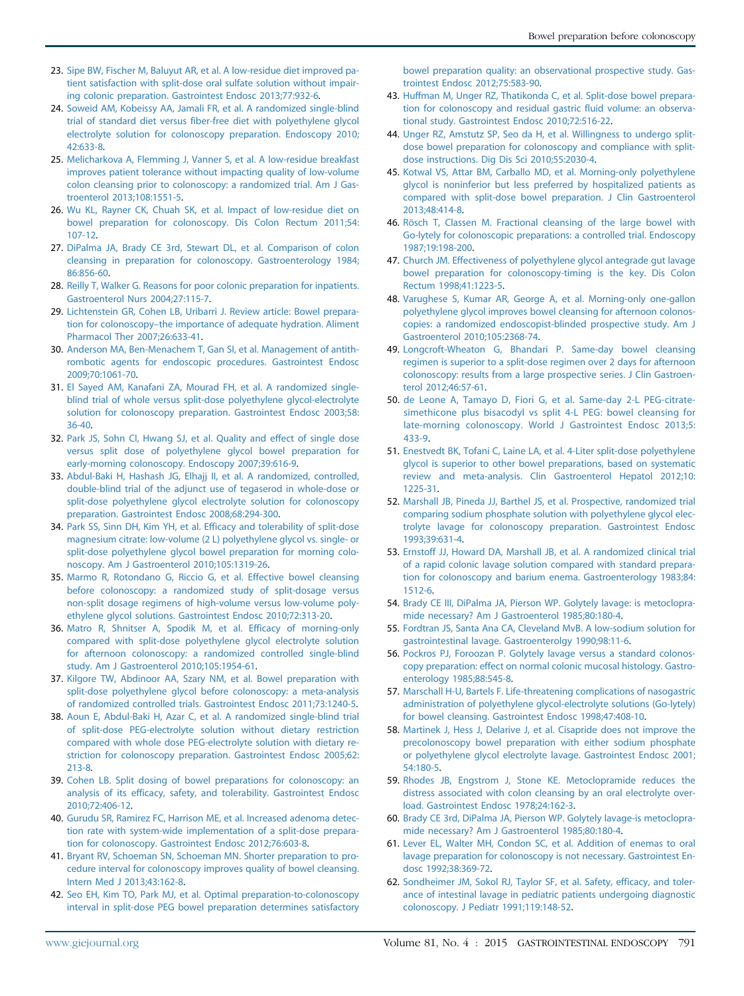- <span id="page-10-0"></span>23. [Sipe BW, Fischer M, Baluyut AR, et al. A low-residue diet improved pa](http://refhub.elsevier.com/S0016-5107(14)02268-8/sref21)[tient satisfaction with split-dose oral sulfate solution without impair](http://refhub.elsevier.com/S0016-5107(14)02268-8/sref21)[ing colonic preparation. Gastrointest Endosc 2013;77:932-6](http://refhub.elsevier.com/S0016-5107(14)02268-8/sref21).
- 24. [Soweid AM, Kobeissy AA, Jamali FR, et al. A randomized single-blind](http://refhub.elsevier.com/S0016-5107(14)02268-8/sref22) [trial of standard diet versus fiber-free diet with polyethylene glycol](http://refhub.elsevier.com/S0016-5107(14)02268-8/sref22) [electrolyte solution for colonoscopy preparation. Endoscopy 2010;](http://refhub.elsevier.com/S0016-5107(14)02268-8/sref22) [42:633-8.](http://refhub.elsevier.com/S0016-5107(14)02268-8/sref22)
- 25. [Melicharkova A, Flemming J, Vanner S, et al. A low-residue breakfast](http://refhub.elsevier.com/S0016-5107(14)02268-8/sref23) [improves patient tolerance without impacting quality of low-volume](http://refhub.elsevier.com/S0016-5107(14)02268-8/sref23) [colon cleansing prior to colonoscopy: a randomized trial. Am J Gas](http://refhub.elsevier.com/S0016-5107(14)02268-8/sref23)[troenterol 2013;108:1551-5.](http://refhub.elsevier.com/S0016-5107(14)02268-8/sref23)
- 26. [Wu KL, Rayner CK, Chuah SK, et al. Impact of low-residue diet on](http://refhub.elsevier.com/S0016-5107(14)02268-8/sref24) [bowel preparation for colonoscopy. Dis Colon Rectum 2011;54:](http://refhub.elsevier.com/S0016-5107(14)02268-8/sref24) [107-12](http://refhub.elsevier.com/S0016-5107(14)02268-8/sref24).
- 27. [DiPalma JA, Brady CE 3rd, Stewart DL, et al. Comparison of colon](http://refhub.elsevier.com/S0016-5107(14)02268-8/sref25) [cleansing in preparation for colonoscopy. Gastroenterology 1984;](http://refhub.elsevier.com/S0016-5107(14)02268-8/sref25) [86:856-60.](http://refhub.elsevier.com/S0016-5107(14)02268-8/sref25)
- 28. [Reilly T, Walker G. Reasons for poor colonic preparation for inpatients.](http://refhub.elsevier.com/S0016-5107(14)02268-8/sref26) [Gastroenterol Nurs 2004;27:115-7](http://refhub.elsevier.com/S0016-5107(14)02268-8/sref26).
- 29. [Lichtenstein GR, Cohen LB, Uribarri J. Review article: Bowel prepara](http://refhub.elsevier.com/S0016-5107(14)02268-8/sref27)tion for colonoscopy–[the importance of adequate hydration. Aliment](http://refhub.elsevier.com/S0016-5107(14)02268-8/sref27) [Pharmacol Ther 2007;26:633-41](http://refhub.elsevier.com/S0016-5107(14)02268-8/sref27).
- 30. [Anderson MA, Ben-Menachem T, Gan SI, et al. Management of antith](http://refhub.elsevier.com/S0016-5107(14)02268-8/sref28)[rombotic agents for endoscopic procedures. Gastrointest Endosc](http://refhub.elsevier.com/S0016-5107(14)02268-8/sref28) [2009;70:1061-70.](http://refhub.elsevier.com/S0016-5107(14)02268-8/sref28)
- 31. [El Sayed AM, Kanafani ZA, Mourad FH, et al. A randomized single](http://refhub.elsevier.com/S0016-5107(14)02268-8/sref29)[blind trial of whole versus split-dose polyethylene glycol-electrolyte](http://refhub.elsevier.com/S0016-5107(14)02268-8/sref29) [solution for colonoscopy preparation. Gastrointest Endosc 2003;58:](http://refhub.elsevier.com/S0016-5107(14)02268-8/sref29) [36-40](http://refhub.elsevier.com/S0016-5107(14)02268-8/sref29).
- 32. [Park JS, Sohn CI, Hwang SJ, et al. Quality and effect of single dose](http://refhub.elsevier.com/S0016-5107(14)02268-8/sref30) [versus split dose of polyethylene glycol bowel preparation for](http://refhub.elsevier.com/S0016-5107(14)02268-8/sref30) [early-morning colonoscopy. Endoscopy 2007;39:616-9](http://refhub.elsevier.com/S0016-5107(14)02268-8/sref30).
- 33. [Abdul-Baki H, Hashash JG, Elhajj II, et al. A randomized, controlled,](http://refhub.elsevier.com/S0016-5107(14)02268-8/sref31) [double-blind trial of the adjunct use of tegaserod in whole-dose or](http://refhub.elsevier.com/S0016-5107(14)02268-8/sref31) [split-dose polyethylene glycol electrolyte solution for colonoscopy](http://refhub.elsevier.com/S0016-5107(14)02268-8/sref31) [preparation. Gastrointest Endosc 2008;68:294-300.](http://refhub.elsevier.com/S0016-5107(14)02268-8/sref31)
- 34. [Park SS, Sinn DH, Kim YH, et al. Efficacy and tolerability of split-dose](http://refhub.elsevier.com/S0016-5107(14)02268-8/sref32) [magnesium citrate: low-volume \(2 L\) polyethylene glycol vs. single- or](http://refhub.elsevier.com/S0016-5107(14)02268-8/sref32) [split-dose polyethylene glycol bowel preparation for morning colo](http://refhub.elsevier.com/S0016-5107(14)02268-8/sref32)[noscopy. Am J Gastroenterol 2010;105:1319-26](http://refhub.elsevier.com/S0016-5107(14)02268-8/sref32).
- 35. [Marmo R, Rotondano G, Riccio G, et al. Effective bowel cleansing](http://refhub.elsevier.com/S0016-5107(14)02268-8/sref33) [before colonoscopy: a randomized study of split-dosage versus](http://refhub.elsevier.com/S0016-5107(14)02268-8/sref33) [non-split dosage regimens of high-volume versus low-volume poly](http://refhub.elsevier.com/S0016-5107(14)02268-8/sref33)[ethylene glycol solutions. Gastrointest Endosc 2010;72:313-20.](http://refhub.elsevier.com/S0016-5107(14)02268-8/sref33)
- 36. [Matro R, Shnitser A, Spodik M, et al. Efficacy of morning-only](http://refhub.elsevier.com/S0016-5107(14)02268-8/sref34) [compared with split-dose polyethylene glycol electrolyte solution](http://refhub.elsevier.com/S0016-5107(14)02268-8/sref34) [for afternoon colonoscopy: a randomized controlled single-blind](http://refhub.elsevier.com/S0016-5107(14)02268-8/sref34) [study. Am J Gastroenterol 2010;105:1954-61.](http://refhub.elsevier.com/S0016-5107(14)02268-8/sref34)
- 37. [Kilgore TW, Abdinoor AA, Szary NM, et al. Bowel preparation with](http://refhub.elsevier.com/S0016-5107(14)02268-8/sref35) [split-dose polyethylene glycol before colonoscopy: a meta-analysis](http://refhub.elsevier.com/S0016-5107(14)02268-8/sref35) [of randomized controlled trials. Gastrointest Endosc 2011;73:1240-5.](http://refhub.elsevier.com/S0016-5107(14)02268-8/sref35)
- 38. [Aoun E, Abdul-Baki H, Azar C, et al. A randomized single-blind trial](http://refhub.elsevier.com/S0016-5107(14)02268-8/sref36) [of split-dose PEG-electrolyte solution without dietary restriction](http://refhub.elsevier.com/S0016-5107(14)02268-8/sref36) [compared with whole dose PEG-electrolyte solution with dietary re](http://refhub.elsevier.com/S0016-5107(14)02268-8/sref36)[striction for colonoscopy preparation. Gastrointest Endosc 2005;62:](http://refhub.elsevier.com/S0016-5107(14)02268-8/sref36) [213-8](http://refhub.elsevier.com/S0016-5107(14)02268-8/sref36).
- 39. [Cohen LB. Split dosing of bowel preparations for colonoscopy: an](http://refhub.elsevier.com/S0016-5107(14)02268-8/sref37) [analysis of its efficacy, safety, and tolerability. Gastrointest Endosc](http://refhub.elsevier.com/S0016-5107(14)02268-8/sref37) [2010;72:406-12.](http://refhub.elsevier.com/S0016-5107(14)02268-8/sref37)
- 40. [Gurudu SR, Ramirez FC, Harrison ME, et al. Increased adenoma detec](http://refhub.elsevier.com/S0016-5107(14)02268-8/sref38)[tion rate with system-wide implementation of a split-dose prepara](http://refhub.elsevier.com/S0016-5107(14)02268-8/sref38)[tion for colonoscopy. Gastrointest Endosc 2012;76:603-8](http://refhub.elsevier.com/S0016-5107(14)02268-8/sref38).
- 41. [Bryant RV, Schoeman SN, Schoeman MN. Shorter preparation to pro](http://refhub.elsevier.com/S0016-5107(14)02268-8/sref39)[cedure interval for colonoscopy improves quality of bowel cleansing.](http://refhub.elsevier.com/S0016-5107(14)02268-8/sref39) [Intern Med J 2013;43:162-8](http://refhub.elsevier.com/S0016-5107(14)02268-8/sref39).
- 42. [Seo EH, Kim TO, Park MJ, et al. Optimal preparation-to-colonoscopy](http://refhub.elsevier.com/S0016-5107(14)02268-8/sref40) [interval in split-dose PEG bowel preparation determines satisfactory](http://refhub.elsevier.com/S0016-5107(14)02268-8/sref40)

[bowel preparation quality: an observational prospective study. Gas](http://refhub.elsevier.com/S0016-5107(14)02268-8/sref40)[trointest Endosc 2012;75:583-90](http://refhub.elsevier.com/S0016-5107(14)02268-8/sref40).

- 43. [Huffman M, Unger RZ, Thatikonda C, et al. Split-dose bowel prepara](http://refhub.elsevier.com/S0016-5107(14)02268-8/sref41)[tion for colonoscopy and residual gastric fluid volume: an observa](http://refhub.elsevier.com/S0016-5107(14)02268-8/sref41)[tional study. Gastrointest Endosc 2010;72:516-22](http://refhub.elsevier.com/S0016-5107(14)02268-8/sref41).
- 44. [Unger RZ, Amstutz SP, Seo da H, et al. Willingness to undergo split](http://refhub.elsevier.com/S0016-5107(14)02268-8/sref42)[dose bowel preparation for colonoscopy and compliance with split](http://refhub.elsevier.com/S0016-5107(14)02268-8/sref42)[dose instructions. Dig Dis Sci 2010;55:2030-4](http://refhub.elsevier.com/S0016-5107(14)02268-8/sref42).
- 45. [Kotwal VS, Attar BM, Carballo MD, et al. Morning-only polyethylene](http://refhub.elsevier.com/S0016-5107(14)02268-8/sref43) [glycol is noninferior but less preferred by hospitalized patients as](http://refhub.elsevier.com/S0016-5107(14)02268-8/sref43) [compared with split-dose bowel preparation. J Clin Gastroenterol](http://refhub.elsevier.com/S0016-5107(14)02268-8/sref43) [2013;48:414-8](http://refhub.elsevier.com/S0016-5107(14)02268-8/sref43).
- 46. [Rösch T, Classen M. Fractional cleansing of the large bowel with](http://refhub.elsevier.com/S0016-5107(14)02268-8/sref44) [Go-lytely for colonoscopic preparations: a controlled trial. Endoscopy](http://refhub.elsevier.com/S0016-5107(14)02268-8/sref44) [1987;19:198-200](http://refhub.elsevier.com/S0016-5107(14)02268-8/sref44).
- 47. [Church JM. Effectiveness of polyethylene glycol antegrade gut lavage](http://refhub.elsevier.com/S0016-5107(14)02268-8/sref45) [bowel preparation for colonoscopy-timing is the key. Dis Colon](http://refhub.elsevier.com/S0016-5107(14)02268-8/sref45) [Rectum 1998;41:1223-5](http://refhub.elsevier.com/S0016-5107(14)02268-8/sref45).
- 48. [Varughese S, Kumar AR, George A, et al. Morning-only one-gallon](http://refhub.elsevier.com/S0016-5107(14)02268-8/sref46) [polyethylene glycol improves bowel cleansing for afternoon colonos](http://refhub.elsevier.com/S0016-5107(14)02268-8/sref46)[copies: a randomized endoscopist-blinded prospective study. Am J](http://refhub.elsevier.com/S0016-5107(14)02268-8/sref46) [Gastroenterol 2010;105:2368-74](http://refhub.elsevier.com/S0016-5107(14)02268-8/sref46).
- 49. [Longcroft-Wheaton G, Bhandari P. Same-day bowel cleansing](http://refhub.elsevier.com/S0016-5107(14)02268-8/sref47) [regimen is superior to a split-dose regimen over 2 days for afternoon](http://refhub.elsevier.com/S0016-5107(14)02268-8/sref47) [colonoscopy: results from a large prospective series. J Clin Gastroen](http://refhub.elsevier.com/S0016-5107(14)02268-8/sref47)[terol 2012;46:57-61](http://refhub.elsevier.com/S0016-5107(14)02268-8/sref47).
- 50. [de Leone A, Tamayo D, Fiori G, et al. Same-day 2-L PEG-citrate](http://refhub.elsevier.com/S0016-5107(14)02268-8/sref48)[simethicone plus bisacodyl vs split 4-L PEG: bowel cleansing for](http://refhub.elsevier.com/S0016-5107(14)02268-8/sref48) [late-morning colonoscopy. World J Gastrointest Endosc 2013;5:](http://refhub.elsevier.com/S0016-5107(14)02268-8/sref48) [433-9.](http://refhub.elsevier.com/S0016-5107(14)02268-8/sref48)
- 51. [Enestvedt BK, Tofani C, Laine LA, et al. 4-Liter split-dose polyethylene](http://refhub.elsevier.com/S0016-5107(14)02268-8/sref49) [glycol is superior to other bowel preparations, based on systematic](http://refhub.elsevier.com/S0016-5107(14)02268-8/sref49) [review and meta-analysis. Clin Gastroenterol Hepatol 2012;10:](http://refhub.elsevier.com/S0016-5107(14)02268-8/sref49) [1225-31.](http://refhub.elsevier.com/S0016-5107(14)02268-8/sref49)
- 52. [Marshall JB, Pineda JJ, Barthel JS, et al. Prospective, randomized trial](http://refhub.elsevier.com/S0016-5107(14)02268-8/sref50) [comparing sodium phosphate solution with polyethylene glycol elec](http://refhub.elsevier.com/S0016-5107(14)02268-8/sref50)[trolyte lavage for colonoscopy preparation. Gastrointest Endosc](http://refhub.elsevier.com/S0016-5107(14)02268-8/sref50) [1993;39:631-4](http://refhub.elsevier.com/S0016-5107(14)02268-8/sref50).
- 53. [Ernstoff JJ, Howard DA, Marshall JB, et al. A randomized clinical trial](http://refhub.elsevier.com/S0016-5107(14)02268-8/sref51) [of a rapid colonic lavage solution compared with standard prepara](http://refhub.elsevier.com/S0016-5107(14)02268-8/sref51)[tion for colonoscopy and barium enema. Gastroenterology 1983;84:](http://refhub.elsevier.com/S0016-5107(14)02268-8/sref51) [1512-6.](http://refhub.elsevier.com/S0016-5107(14)02268-8/sref51)
- 54. [Brady CE III, DiPalma JA, Pierson WP. Golytely lavage: is metoclopra](http://refhub.elsevier.com/S0016-5107(14)02268-8/sref52)[mide necessary? Am J Gastroenterol 1985;80:180-4](http://refhub.elsevier.com/S0016-5107(14)02268-8/sref52).
- 55. [Fordtran JS, Santa Ana CA, Cleveland MvB. A low-sodium solution for](http://refhub.elsevier.com/S0016-5107(14)02268-8/sref53) [gastrointestinal lavage. Gastroenterolgy 1990;98:11-6.](http://refhub.elsevier.com/S0016-5107(14)02268-8/sref53)
- 56. [Pockros PJ, Foroozan P. Golytely lavage versus a standard colonos](http://refhub.elsevier.com/S0016-5107(14)02268-8/sref54)[copy preparation: effect on normal colonic mucosal histology. Gastro](http://refhub.elsevier.com/S0016-5107(14)02268-8/sref54)[enterology 1985;88:545-8.](http://refhub.elsevier.com/S0016-5107(14)02268-8/sref54)
- 57. [Marschall H-U, Bartels F. Life-threatening complications of nasogastric](http://refhub.elsevier.com/S0016-5107(14)02268-8/sref55) [administration of polyethylene glycol-electrolyte solutions \(Go-lytely\)](http://refhub.elsevier.com/S0016-5107(14)02268-8/sref55) [for bowel cleansing. Gastrointest Endosc 1998;47:408-10.](http://refhub.elsevier.com/S0016-5107(14)02268-8/sref55)
- 58. [Martinek J, Hess J, Delarive J, et al. Cisapride does not improve the](http://refhub.elsevier.com/S0016-5107(14)02268-8/sref56) [precolonoscopy bowel preparation with either sodium phosphate](http://refhub.elsevier.com/S0016-5107(14)02268-8/sref56) [or polyethylene glycol electrolyte lavage. Gastrointest Endosc 2001;](http://refhub.elsevier.com/S0016-5107(14)02268-8/sref56) [54:180-5](http://refhub.elsevier.com/S0016-5107(14)02268-8/sref56).
- 59. [Rhodes JB, Engstrom J, Stone KE. Metoclopramide reduces the](http://refhub.elsevier.com/S0016-5107(14)02268-8/sref57) [distress associated with colon cleansing by an oral electrolyte over](http://refhub.elsevier.com/S0016-5107(14)02268-8/sref57)[load. Gastrointest Endosc 1978;24:162-3.](http://refhub.elsevier.com/S0016-5107(14)02268-8/sref57)
- 60. [Brady CE 3rd, DiPalma JA, Pierson WP. Golytely lavage-is metoclopra](http://refhub.elsevier.com/S0016-5107(14)02268-8/sref58)[mide necessary? Am J Gastroenterol 1985;80:180-4](http://refhub.elsevier.com/S0016-5107(14)02268-8/sref58).
- 61. [Lever EL, Walter MH, Condon SC, et al. Addition of enemas to oral](http://refhub.elsevier.com/S0016-5107(14)02268-8/sref59) [lavage preparation for colonoscopy is not necessary. Gastrointest En](http://refhub.elsevier.com/S0016-5107(14)02268-8/sref59)[dosc 1992;38:369-72](http://refhub.elsevier.com/S0016-5107(14)02268-8/sref59).
- 62. [Sondheimer JM, Sokol RJ, Taylor SF, et al. Safety, efficacy, and toler](http://refhub.elsevier.com/S0016-5107(14)02268-8/sref60)[ance of intestinal lavage in pediatric patients undergoing diagnostic](http://refhub.elsevier.com/S0016-5107(14)02268-8/sref60) [colonoscopy. J Pediatr 1991;119:148-52](http://refhub.elsevier.com/S0016-5107(14)02268-8/sref60).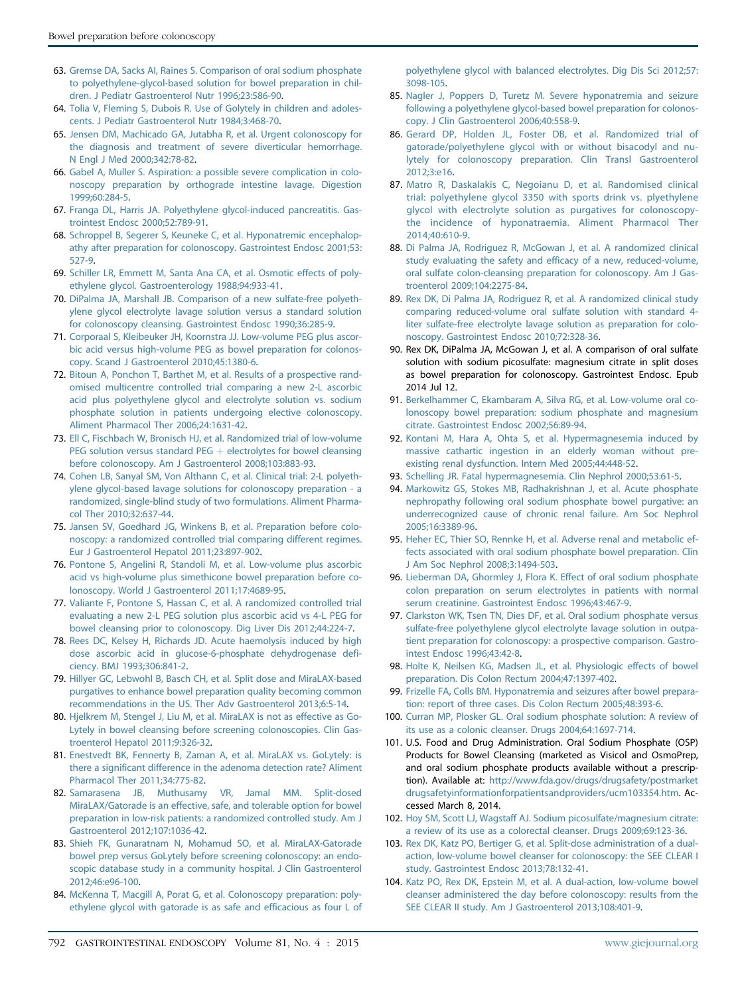- <span id="page-11-0"></span>63. [Gremse DA, Sacks AI, Raines S. Comparison of oral sodium phosphate](http://refhub.elsevier.com/S0016-5107(14)02268-8/sref61) [to polyethylene-glycol-based solution for bowel preparation in chil](http://refhub.elsevier.com/S0016-5107(14)02268-8/sref61)[dren. J Pediatr Gastroenterol Nutr 1996;23:586-90](http://refhub.elsevier.com/S0016-5107(14)02268-8/sref61).
- 64. [Tolia V, Fleming S, Dubois R. Use of Golytely in children and adoles](http://refhub.elsevier.com/S0016-5107(14)02268-8/sref62)[cents. J Pediatr Gastroenterol Nutr 1984;3:468-70](http://refhub.elsevier.com/S0016-5107(14)02268-8/sref62).
- 65. [Jensen DM, Machicado GA, Jutabha R, et al. Urgent colonoscopy for](http://refhub.elsevier.com/S0016-5107(14)02268-8/sref63) [the diagnosis and treatment of severe diverticular hemorrhage.](http://refhub.elsevier.com/S0016-5107(14)02268-8/sref63) [N Engl J Med 2000;342:78-82.](http://refhub.elsevier.com/S0016-5107(14)02268-8/sref63)
- 66. [Gabel A, Muller S. Aspiration: a possible severe complication in colo](http://refhub.elsevier.com/S0016-5107(14)02268-8/sref64)[noscopy preparation by orthograde intestine lavage. Digestion](http://refhub.elsevier.com/S0016-5107(14)02268-8/sref64) [1999;60:284-5.](http://refhub.elsevier.com/S0016-5107(14)02268-8/sref64)
- 67. [Franga DL, Harris JA. Polyethylene glycol-induced pancreatitis. Gas](http://refhub.elsevier.com/S0016-5107(14)02268-8/sref65)[trointest Endosc 2000;52:789-91.](http://refhub.elsevier.com/S0016-5107(14)02268-8/sref65)
- 68. [Schroppel B, Segerer S, Keuneke C, et al. Hyponatremic encephalop](http://refhub.elsevier.com/S0016-5107(14)02268-8/sref66)[athy after preparation for colonoscopy. Gastrointest Endosc 2001;53:](http://refhub.elsevier.com/S0016-5107(14)02268-8/sref66) [527-9](http://refhub.elsevier.com/S0016-5107(14)02268-8/sref66).
- 69. [Schiller LR, Emmett M, Santa Ana CA, et al. Osmotic effects of poly](http://refhub.elsevier.com/S0016-5107(14)02268-8/sref67)[ethylene glycol. Gastroenterology 1988;94:933-41](http://refhub.elsevier.com/S0016-5107(14)02268-8/sref67).
- 70. [DiPalma JA, Marshall JB. Comparison of a new sulfate-free polyeth](http://refhub.elsevier.com/S0016-5107(14)02268-8/sref68)[ylene glycol electrolyte lavage solution versus a standard solution](http://refhub.elsevier.com/S0016-5107(14)02268-8/sref68) [for colonoscopy cleansing. Gastrointest Endosc 1990;36:285-9.](http://refhub.elsevier.com/S0016-5107(14)02268-8/sref68)
- 71. [Corporaal S, Kleibeuker JH, Koornstra JJ. Low-volume PEG plus ascor](http://refhub.elsevier.com/S0016-5107(14)02268-8/sref69)[bic acid versus high-volume PEG as bowel preparation for colonos](http://refhub.elsevier.com/S0016-5107(14)02268-8/sref69)[copy. Scand J Gastroenterol 2010;45:1380-6](http://refhub.elsevier.com/S0016-5107(14)02268-8/sref69).
- 72. [Bitoun A, Ponchon T, Barthet M, et al. Results of a prospective rand](http://refhub.elsevier.com/S0016-5107(14)02268-8/sref70)[omised multicentre controlled trial comparing a new 2-L ascorbic](http://refhub.elsevier.com/S0016-5107(14)02268-8/sref70) [acid plus polyethylene glycol and electrolyte solution vs. sodium](http://refhub.elsevier.com/S0016-5107(14)02268-8/sref70) [phosphate solution in patients undergoing elective colonoscopy.](http://refhub.elsevier.com/S0016-5107(14)02268-8/sref70) [Aliment Pharmacol Ther 2006;24:1631-42.](http://refhub.elsevier.com/S0016-5107(14)02268-8/sref70)
- 73. [Ell C, Fischbach W, Bronisch HJ, et al. Randomized trial of low-volume](http://refhub.elsevier.com/S0016-5107(14)02268-8/sref71) [PEG solution versus standard PEG](http://refhub.elsevier.com/S0016-5107(14)02268-8/sref71)  $+$  [electrolytes for bowel cleansing](http://refhub.elsevier.com/S0016-5107(14)02268-8/sref71) [before colonoscopy. Am J Gastroenterol 2008;103:883-93.](http://refhub.elsevier.com/S0016-5107(14)02268-8/sref71)
- 74. [Cohen LB, Sanyal SM, Von Althann C, et al. Clinical trial: 2-L polyeth](http://refhub.elsevier.com/S0016-5107(14)02268-8/sref72)[ylene glycol-based lavage solutions for colonoscopy preparation - a](http://refhub.elsevier.com/S0016-5107(14)02268-8/sref72) [randomized, single-blind study of two formulations. Aliment Pharma](http://refhub.elsevier.com/S0016-5107(14)02268-8/sref72)[col Ther 2010;32:637-44.](http://refhub.elsevier.com/S0016-5107(14)02268-8/sref72)
- 75. [Jansen SV, Goedhard JG, Winkens B, et al. Preparation before colo](http://refhub.elsevier.com/S0016-5107(14)02268-8/sref73)[noscopy: a randomized controlled trial comparing different regimes.](http://refhub.elsevier.com/S0016-5107(14)02268-8/sref73) [Eur J Gastroenterol Hepatol 2011;23:897-902](http://refhub.elsevier.com/S0016-5107(14)02268-8/sref73).
- 76. [Pontone S, Angelini R, Standoli M, et al. Low-volume plus ascorbic](http://refhub.elsevier.com/S0016-5107(14)02268-8/sref74) [acid vs high-volume plus simethicone bowel preparation before co](http://refhub.elsevier.com/S0016-5107(14)02268-8/sref74)[lonoscopy. World J Gastroenterol 2011;17:4689-95](http://refhub.elsevier.com/S0016-5107(14)02268-8/sref74).
- 77. [Valiante F, Pontone S, Hassan C, et al. A randomized controlled trial](http://refhub.elsevier.com/S0016-5107(14)02268-8/sref75) [evaluating a new 2-L PEG solution plus ascorbic acid vs 4-L PEG for](http://refhub.elsevier.com/S0016-5107(14)02268-8/sref75) [bowel cleansing prior to colonoscopy. Dig Liver Dis 2012;44:224-7](http://refhub.elsevier.com/S0016-5107(14)02268-8/sref75).
- 78. [Rees DC, Kelsey H, Richards JD. Acute haemolysis induced by high](http://refhub.elsevier.com/S0016-5107(14)02268-8/sref76) [dose ascorbic acid in glucose-6-phosphate dehydrogenase defi](http://refhub.elsevier.com/S0016-5107(14)02268-8/sref76)[ciency. BMJ 1993;306:841-2](http://refhub.elsevier.com/S0016-5107(14)02268-8/sref76).
- 79. [Hillyer GC, Lebwohl B, Basch CH, et al. Split dose and MiraLAX-based](http://refhub.elsevier.com/S0016-5107(14)02268-8/sref77) [purgatives to enhance bowel preparation quality becoming common](http://refhub.elsevier.com/S0016-5107(14)02268-8/sref77) [recommendations in the US. Ther Adv Gastroenterol 2013;6:5-14.](http://refhub.elsevier.com/S0016-5107(14)02268-8/sref77)
- 80. [Hjelkrem M, Stengel J, Liu M, et al. MiraLAX is not as effective as Go-](http://refhub.elsevier.com/S0016-5107(14)02268-8/sref78)[Lytely in bowel cleansing before screening colonoscopies. Clin Gas](http://refhub.elsevier.com/S0016-5107(14)02268-8/sref78)[troenterol Hepatol 2011;9:326-32](http://refhub.elsevier.com/S0016-5107(14)02268-8/sref78).
- 81. [Enestvedt BK, Fennerty B, Zaman A, et al. MiraLAX vs. GoLytely: is](http://refhub.elsevier.com/S0016-5107(14)02268-8/sref79) [there a significant difference in the adenoma detection rate? Aliment](http://refhub.elsevier.com/S0016-5107(14)02268-8/sref79) [Pharmacol Ther 2011;34:775-82](http://refhub.elsevier.com/S0016-5107(14)02268-8/sref79).
- 82. [Samarasena JB, Muthusamy VR, Jamal MM. Split-dosed](http://refhub.elsevier.com/S0016-5107(14)02268-8/sref80) [MiraLAX/Gatorade is an effective, safe, and tolerable option for bowel](http://refhub.elsevier.com/S0016-5107(14)02268-8/sref80) [preparation in low-risk patients: a randomized controlled study. Am J](http://refhub.elsevier.com/S0016-5107(14)02268-8/sref80) [Gastroenterol 2012;107:1036-42.](http://refhub.elsevier.com/S0016-5107(14)02268-8/sref80)
- 83. [Shieh FK, Gunaratnam N, Mohamud SO, et al. MiraLAX-Gatorade](http://refhub.elsevier.com/S0016-5107(14)02268-8/sref81) [bowel prep versus GoLytely before screening colonoscopy: an endo](http://refhub.elsevier.com/S0016-5107(14)02268-8/sref81)[scopic database study in a community hospital. J Clin Gastroenterol](http://refhub.elsevier.com/S0016-5107(14)02268-8/sref81) [2012;46:e96-100.](http://refhub.elsevier.com/S0016-5107(14)02268-8/sref81)
- 84. [McKenna T, Macgill A, Porat G, et al. Colonoscopy preparation: poly](http://refhub.elsevier.com/S0016-5107(14)02268-8/sref82)[ethylene glycol with gatorade is as safe and efficacious as four L of](http://refhub.elsevier.com/S0016-5107(14)02268-8/sref82)

[polyethylene glycol with balanced electrolytes. Dig Dis Sci 2012;57:](http://refhub.elsevier.com/S0016-5107(14)02268-8/sref82) [3098-105](http://refhub.elsevier.com/S0016-5107(14)02268-8/sref82).

- 85. [Nagler J, Poppers D, Turetz M. Severe hyponatremia and seizure](http://refhub.elsevier.com/S0016-5107(14)02268-8/sref83) [following a polyethylene glycol-based bowel preparation for colonos](http://refhub.elsevier.com/S0016-5107(14)02268-8/sref83)[copy. J Clin Gastroenterol 2006;40:558-9](http://refhub.elsevier.com/S0016-5107(14)02268-8/sref83).
- 86. [Gerard DP, Holden JL, Foster DB, et al. Randomized trial of](http://refhub.elsevier.com/S0016-5107(14)02268-8/sref84) [gatorade/polyethylene glycol with or without bisacodyl and nu](http://refhub.elsevier.com/S0016-5107(14)02268-8/sref84)[lytely for colonoscopy preparation. Clin Transl Gastroenterol](http://refhub.elsevier.com/S0016-5107(14)02268-8/sref84) [2012;3:e16.](http://refhub.elsevier.com/S0016-5107(14)02268-8/sref84)
- 87. [Matro R, Daskalakis C, Negoianu D, et al. Randomised clinical](http://refhub.elsevier.com/S0016-5107(14)02268-8/sref85) [trial: polyethylene glycol 3350 with sports drink vs. plyethylene](http://refhub.elsevier.com/S0016-5107(14)02268-8/sref85) [glycol with electrolyte solution as purgatives for colonoscopy](http://refhub.elsevier.com/S0016-5107(14)02268-8/sref85)[the incidence of hyponatraemia. Aliment Pharmacol Ther](http://refhub.elsevier.com/S0016-5107(14)02268-8/sref85) [2014;40:610-9.](http://refhub.elsevier.com/S0016-5107(14)02268-8/sref85)
- 88. [Di Palma JA, Rodriguez R, McGowan J, et al. A randomized clinical](http://refhub.elsevier.com/S0016-5107(14)02268-8/sref86) [study evaluating the safety and efficacy of a new, reduced-volume,](http://refhub.elsevier.com/S0016-5107(14)02268-8/sref86) [oral sulfate colon-cleansing preparation for colonoscopy. Am J Gas](http://refhub.elsevier.com/S0016-5107(14)02268-8/sref86)[troenterol 2009;104:2275-84](http://refhub.elsevier.com/S0016-5107(14)02268-8/sref86).
- 89. [Rex DK, Di Palma JA, Rodriguez R, et al. A randomized clinical study](http://refhub.elsevier.com/S0016-5107(14)02268-8/sref87) [comparing reduced-volume oral sulfate solution with standard 4](http://refhub.elsevier.com/S0016-5107(14)02268-8/sref87) [liter sulfate-free electrolyte lavage solution as preparation for colo](http://refhub.elsevier.com/S0016-5107(14)02268-8/sref87)[noscopy. Gastrointest Endosc 2010;72:328-36.](http://refhub.elsevier.com/S0016-5107(14)02268-8/sref87)
- 90. Rex DK, DiPalma JA, McGowan J, et al. A comparison of oral sulfate solution with sodium picosulfate: magnesium citrate in split doses as bowel preparation for colonoscopy. Gastrointest Endosc. Epub 2014 Jul 12.
- 91. [Berkelhammer C, Ekambaram A, Silva RG, et al. Low-volume oral co](http://refhub.elsevier.com/S0016-5107(14)02268-8/sref88)[lonoscopy bowel preparation: sodium phosphate and magnesium](http://refhub.elsevier.com/S0016-5107(14)02268-8/sref88) [citrate. Gastrointest Endosc 2002;56:89-94](http://refhub.elsevier.com/S0016-5107(14)02268-8/sref88).
- 92. [Kontani M, Hara A, Ohta S, et al. Hypermagnesemia induced by](http://refhub.elsevier.com/S0016-5107(14)02268-8/sref89) [massive cathartic ingestion in an elderly woman without pre](http://refhub.elsevier.com/S0016-5107(14)02268-8/sref89)[existing renal dysfunction. Intern Med 2005;44:448-52](http://refhub.elsevier.com/S0016-5107(14)02268-8/sref89).
- 93. [Schelling JR. Fatal hypermagnesemia. Clin Nephrol 2000;53:61-5](http://refhub.elsevier.com/S0016-5107(14)02268-8/sref90).
- 94. [Markowitz GS, Stokes MB, Radhakrishnan J, et al. Acute phosphate](http://refhub.elsevier.com/S0016-5107(14)02268-8/sref91) [nephropathy following oral sodium phosphate bowel purgative: an](http://refhub.elsevier.com/S0016-5107(14)02268-8/sref91) [underrecognized cause of chronic renal failure. Am Soc Nephrol](http://refhub.elsevier.com/S0016-5107(14)02268-8/sref91) [2005;16:3389-96](http://refhub.elsevier.com/S0016-5107(14)02268-8/sref91).
- 95. [Heher EC, Thier SO, Rennke H, et al. Adverse renal and metabolic ef](http://refhub.elsevier.com/S0016-5107(14)02268-8/sref92)[fects associated with oral sodium phosphate bowel preparation. Clin](http://refhub.elsevier.com/S0016-5107(14)02268-8/sref92) [J Am Soc Nephrol 2008;3:1494-503.](http://refhub.elsevier.com/S0016-5107(14)02268-8/sref92)
- 96. [Lieberman DA, Ghormley J, Flora K. Effect of oral sodium phosphate](http://refhub.elsevier.com/S0016-5107(14)02268-8/sref93) [colon preparation on serum electrolytes in patients with normal](http://refhub.elsevier.com/S0016-5107(14)02268-8/sref93) [serum creatinine. Gastrointest Endosc 1996;43:467-9.](http://refhub.elsevier.com/S0016-5107(14)02268-8/sref93)
- 97. [Clarkston WK, Tsen TN, Dies DF, et al. Oral sodium phosphate versus](http://refhub.elsevier.com/S0016-5107(14)02268-8/sref94) [sulfate-free polyethylene glycol electrolyte lavage solution in outpa](http://refhub.elsevier.com/S0016-5107(14)02268-8/sref94)[tient preparation for colonoscopy: a prospective comparison. Gastro](http://refhub.elsevier.com/S0016-5107(14)02268-8/sref94)[intest Endosc 1996;43:42-8.](http://refhub.elsevier.com/S0016-5107(14)02268-8/sref94)
- 98. [Holte K, Neilsen KG, Madsen JL, et al. Physiologic effects of bowel](http://refhub.elsevier.com/S0016-5107(14)02268-8/sref95) [preparation. Dis Colon Rectum 2004;47:1397-402](http://refhub.elsevier.com/S0016-5107(14)02268-8/sref95).
- 99. [Frizelle FA, Colls BM. Hyponatremia and seizures after bowel prepara](http://refhub.elsevier.com/S0016-5107(14)02268-8/sref96)[tion: report of three cases. Dis Colon Rectum 2005;48:393-6.](http://refhub.elsevier.com/S0016-5107(14)02268-8/sref96)
- 100. [Curran MP, Plosker GL. Oral sodium phosphate solution: A review of](http://refhub.elsevier.com/S0016-5107(14)02268-8/sref97) [its use as a colonic cleanser. Drugs 2004;64:1697-714](http://refhub.elsevier.com/S0016-5107(14)02268-8/sref97).
- 101. U.S. Food and Drug Administration. Oral Sodium Phosphate (OSP) Products for Bowel Cleansing (marketed as Visicol and OsmoPrep, and oral sodium phosphate products available without a prescription). Available at: [http://www.fda.gov/drugs/drugsafety/postmarket](http://www.fda.gov/drugs/drugsafety/postmarketdrugsafetyinformationforpatientsandproviders/ucm103354.htm) [drugsafetyinformationforpatientsandproviders/ucm103354.htm.](http://www.fda.gov/drugs/drugsafety/postmarketdrugsafetyinformationforpatientsandproviders/ucm103354.htm) Accessed March 8, 2014.
- 102. [Hoy SM, Scott LJ, Wagstaff AJ. Sodium picosulfate/magnesium citrate:](http://refhub.elsevier.com/S0016-5107(14)02268-8/sref98) [a review of its use as a colorectal cleanser. Drugs 2009;69:123-36.](http://refhub.elsevier.com/S0016-5107(14)02268-8/sref98)
- 103. [Rex DK, Katz PO, Bertiger G, et al. Split-dose administration of a dual](http://refhub.elsevier.com/S0016-5107(14)02268-8/sref99)[action, low-volume bowel cleanser for colonoscopy: the SEE CLEAR I](http://refhub.elsevier.com/S0016-5107(14)02268-8/sref99) [study. Gastrointest Endosc 2013;78:132-41.](http://refhub.elsevier.com/S0016-5107(14)02268-8/sref99)
- 104. [Katz PO, Rex DK, Epstein M, et al. A dual-action, low-volume bowel](http://refhub.elsevier.com/S0016-5107(14)02268-8/sref100) [cleanser administered the day before colonoscopy: results from the](http://refhub.elsevier.com/S0016-5107(14)02268-8/sref100) [SEE CLEAR II study. Am J Gastroenterol 2013;108:401-9.](http://refhub.elsevier.com/S0016-5107(14)02268-8/sref100)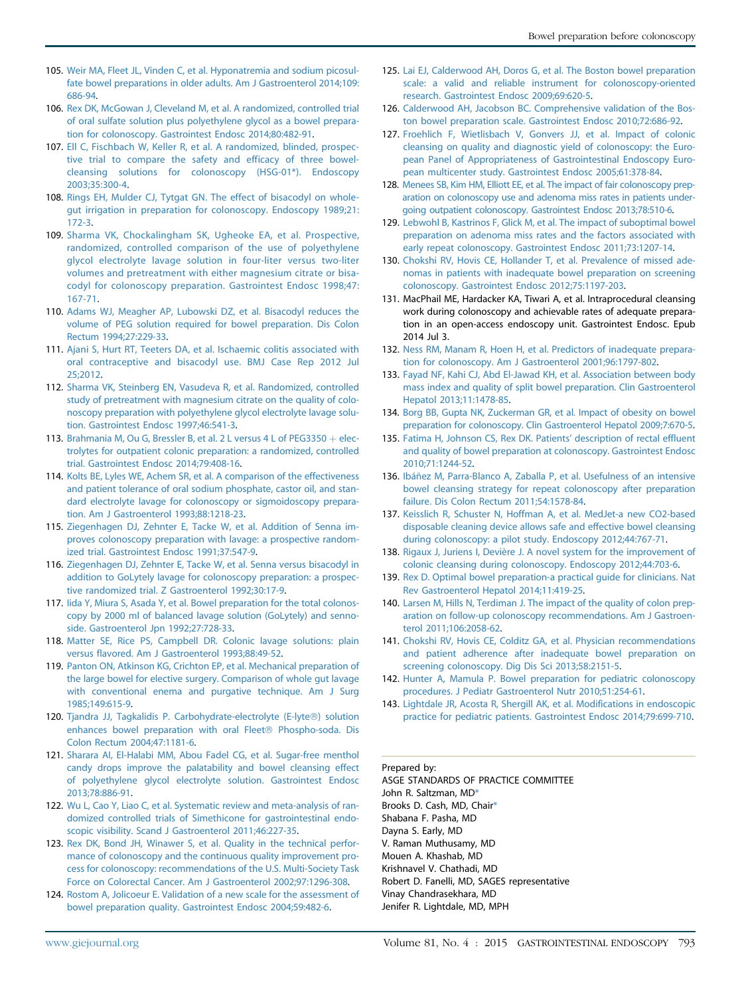- <span id="page-12-0"></span>105. [Weir MA, Fleet JL, Vinden C, et al. Hyponatremia and sodium picosul](http://refhub.elsevier.com/S0016-5107(14)02268-8/sref101)[fate bowel preparations in older adults. Am J Gastroenterol 2014;109:](http://refhub.elsevier.com/S0016-5107(14)02268-8/sref101) [686-94](http://refhub.elsevier.com/S0016-5107(14)02268-8/sref101).
- 106. [Rex DK, McGowan J, Cleveland M, et al. A randomized, controlled trial](http://refhub.elsevier.com/S0016-5107(14)02268-8/sref102) [of oral sulfate solution plus polyethylene glycol as a bowel prepara](http://refhub.elsevier.com/S0016-5107(14)02268-8/sref102)[tion for colonoscopy. Gastrointest Endosc 2014;80:482-91.](http://refhub.elsevier.com/S0016-5107(14)02268-8/sref102)
- 107. [Ell C, Fischbach W, Keller R, et al. A randomized, blinded, prospec](http://refhub.elsevier.com/S0016-5107(14)02268-8/sref103)[tive trial to compare the safety and efficacy of three bowel](http://refhub.elsevier.com/S0016-5107(14)02268-8/sref103)[cleansing solutions for colonoscopy \(HSG-01\\*\). Endoscopy](http://refhub.elsevier.com/S0016-5107(14)02268-8/sref103) [2003;35:300-4.](http://refhub.elsevier.com/S0016-5107(14)02268-8/sref103)
- 108. [Rings EH, Mulder CJ, Tytgat GN. The effect of bisacodyl on whole](http://refhub.elsevier.com/S0016-5107(14)02268-8/sref104)[gut irrigation in preparation for colonoscopy. Endoscopy 1989;21:](http://refhub.elsevier.com/S0016-5107(14)02268-8/sref104) [172-3.](http://refhub.elsevier.com/S0016-5107(14)02268-8/sref104)
- 109. [Sharma VK, Chockalingham SK, Ugheoke EA, et al. Prospective,](http://refhub.elsevier.com/S0016-5107(14)02268-8/sref105) [randomized, controlled comparison of the use of polyethylene](http://refhub.elsevier.com/S0016-5107(14)02268-8/sref105) [glycol electrolyte lavage solution in four-liter versus two-liter](http://refhub.elsevier.com/S0016-5107(14)02268-8/sref105) [volumes and pretreatment with either magnesium citrate or bisa](http://refhub.elsevier.com/S0016-5107(14)02268-8/sref105)[codyl for colonoscopy preparation. Gastrointest Endosc 1998;47:](http://refhub.elsevier.com/S0016-5107(14)02268-8/sref105) [167-71](http://refhub.elsevier.com/S0016-5107(14)02268-8/sref105).
- 110. [Adams WJ, Meagher AP, Lubowski DZ, et al. Bisacodyl reduces the](http://refhub.elsevier.com/S0016-5107(14)02268-8/sref106) [volume of PEG solution required for bowel preparation. Dis Colon](http://refhub.elsevier.com/S0016-5107(14)02268-8/sref106) [Rectum 1994;27:229-33.](http://refhub.elsevier.com/S0016-5107(14)02268-8/sref106)
- 111. [Ajani S, Hurt RT, Teeters DA, et al. Ischaemic colitis associated with](http://refhub.elsevier.com/S0016-5107(14)02268-8/sref107) [oral contraceptive and bisacodyl use. BMJ Case Rep 2012 Jul](http://refhub.elsevier.com/S0016-5107(14)02268-8/sref107) [25;2012](http://refhub.elsevier.com/S0016-5107(14)02268-8/sref107).
- 112. [Sharma VK, Steinberg EN, Vasudeva R, et al. Randomized, controlled](http://refhub.elsevier.com/S0016-5107(14)02268-8/sref108) [study of pretreatment with magnesium citrate on the quality of colo](http://refhub.elsevier.com/S0016-5107(14)02268-8/sref108)[noscopy preparation with polyethylene glycol electrolyte lavage solu](http://refhub.elsevier.com/S0016-5107(14)02268-8/sref108)[tion. Gastrointest Endosc 1997;46:541-3](http://refhub.elsevier.com/S0016-5107(14)02268-8/sref108).
- 113. [Brahmania M, Ou G, Bressler B, et al. 2 L versus 4 L of PEG3350](http://refhub.elsevier.com/S0016-5107(14)02268-8/sref110)  $+$  [elec](http://refhub.elsevier.com/S0016-5107(14)02268-8/sref110)[trolytes for outpatient colonic preparation: a randomized, controlled](http://refhub.elsevier.com/S0016-5107(14)02268-8/sref110) [trial. Gastrointest Endosc 2014;79:408-16.](http://refhub.elsevier.com/S0016-5107(14)02268-8/sref110)
- 114. [Kolts BE, Lyles WE, Achem SR, et al. A comparison of the effectiveness](http://refhub.elsevier.com/S0016-5107(14)02268-8/sref111) [and patient tolerance of oral sodium phosphate, castor oil, and stan](http://refhub.elsevier.com/S0016-5107(14)02268-8/sref111)[dard electrolyte lavage for colonoscopy or sigmoidoscopy prepara](http://refhub.elsevier.com/S0016-5107(14)02268-8/sref111)[tion. Am J Gastroenterol 1993;88:1218-23.](http://refhub.elsevier.com/S0016-5107(14)02268-8/sref111)
- 115. [Ziegenhagen DJ, Zehnter E, Tacke W, et al. Addition of Senna im](http://refhub.elsevier.com/S0016-5107(14)02268-8/sref112)[proves colonoscopy preparation with lavage: a prospective random](http://refhub.elsevier.com/S0016-5107(14)02268-8/sref112)[ized trial. Gastrointest Endosc 1991;37:547-9.](http://refhub.elsevier.com/S0016-5107(14)02268-8/sref112)
- 116. [Ziegenhagen DJ, Zehnter E, Tacke W, et al. Senna versus bisacodyl in](http://refhub.elsevier.com/S0016-5107(14)02268-8/sref113) [addition to GoLytely lavage for colonoscopy preparation: a prospec](http://refhub.elsevier.com/S0016-5107(14)02268-8/sref113)[tive randomized trial. Z Gastroenterol 1992;30:17-9.](http://refhub.elsevier.com/S0016-5107(14)02268-8/sref113)
- 117. [Iida Y, Miura S, Asada Y, et al. Bowel preparation for the total colonos](http://refhub.elsevier.com/S0016-5107(14)02268-8/sref114)[copy by 2000 ml of balanced lavage solution \(GoLytely\) and senno](http://refhub.elsevier.com/S0016-5107(14)02268-8/sref114)side. Gastroenterol Jpn 1992:27:728-33.
- 118. [Matter SE, Rice PS, Campbell DR. Colonic lavage solutions: plain](http://refhub.elsevier.com/S0016-5107(14)02268-8/sref115) [versus flavored. Am J Gastroenterol 1993;88:49-52.](http://refhub.elsevier.com/S0016-5107(14)02268-8/sref115)
- 119. [Panton ON, Atkinson KG, Crichton EP, et al. Mechanical preparation of](http://refhub.elsevier.com/S0016-5107(14)02268-8/sref116) [the large bowel for elective surgery. Comparison of whole gut lavage](http://refhub.elsevier.com/S0016-5107(14)02268-8/sref116) [with conventional enema and purgative technique. Am J Surg](http://refhub.elsevier.com/S0016-5107(14)02268-8/sref116) [1985;149:615-9.](http://refhub.elsevier.com/S0016-5107(14)02268-8/sref116)
- 120. [Tjandra JJ, Tagkalidis P. Carbohydrate-electrolyte \(E-lyte](http://refhub.elsevier.com/S0016-5107(14)02268-8/sref117)®[\) solution](http://refhub.elsevier.com/S0016-5107(14)02268-8/sref117) [enhances bowel preparation with oral Fleet](http://refhub.elsevier.com/S0016-5107(14)02268-8/sref117)<sup>®</sup> [Phospho-soda. Dis](http://refhub.elsevier.com/S0016-5107(14)02268-8/sref117) [Colon Rectum 2004;47:1181-6.](http://refhub.elsevier.com/S0016-5107(14)02268-8/sref117)
- 121. [Sharara AI, El-Halabi MM, Abou Fadel CG, et al. Sugar-free menthol](http://refhub.elsevier.com/S0016-5107(14)02268-8/sref118) [candy drops improve the palatability and bowel cleansing effect](http://refhub.elsevier.com/S0016-5107(14)02268-8/sref118) [of polyethylene glycol electrolyte solution. Gastrointest Endosc](http://refhub.elsevier.com/S0016-5107(14)02268-8/sref118) [2013;78:886-91.](http://refhub.elsevier.com/S0016-5107(14)02268-8/sref118)
- 122. [Wu L, Cao Y, Liao C, et al. Systematic review and meta-analysis of ran](http://refhub.elsevier.com/S0016-5107(14)02268-8/sref119)[domized controlled trials of Simethicone for gastrointestinal endo](http://refhub.elsevier.com/S0016-5107(14)02268-8/sref119)[scopic visibility. Scand J Gastroenterol 2011;46:227-35](http://refhub.elsevier.com/S0016-5107(14)02268-8/sref119).
- 123. [Rex DK, Bond JH, Winawer S, et al. Quality in the technical perfor](http://refhub.elsevier.com/S0016-5107(14)02268-8/sref120)[mance of colonoscopy and the continuous quality improvement pro](http://refhub.elsevier.com/S0016-5107(14)02268-8/sref120)[cess for colonoscopy: recommendations of the U.S. Multi-Society Task](http://refhub.elsevier.com/S0016-5107(14)02268-8/sref120) [Force on Colorectal Cancer. Am J Gastroenterol 2002;97:1296-308](http://refhub.elsevier.com/S0016-5107(14)02268-8/sref120).
- 124. [Rostom A, Jolicoeur E. Validation of a new scale for the assessment of](http://refhub.elsevier.com/S0016-5107(14)02268-8/sref121) [bowel preparation quality. Gastrointest Endosc 2004;59:482-6.](http://refhub.elsevier.com/S0016-5107(14)02268-8/sref121)
- 125. [Lai EJ, Calderwood AH, Doros G, et al. The Boston bowel preparation](http://refhub.elsevier.com/S0016-5107(14)02268-8/sref122) [scale: a valid and reliable instrument for colonoscopy-oriented](http://refhub.elsevier.com/S0016-5107(14)02268-8/sref122) [research. Gastrointest Endosc 2009;69:620-5](http://refhub.elsevier.com/S0016-5107(14)02268-8/sref122).
- 126. [Calderwood AH, Jacobson BC. Comprehensive validation of the Bos](http://refhub.elsevier.com/S0016-5107(14)02268-8/sref123)[ton bowel preparation scale. Gastrointest Endosc 2010;72:686-92](http://refhub.elsevier.com/S0016-5107(14)02268-8/sref123).
- 127. [Froehlich F, Wietlisbach V, Gonvers JJ, et al. Impact of colonic](http://refhub.elsevier.com/S0016-5107(14)02268-8/sref124) [cleansing on quality and diagnostic yield of colonoscopy: the Euro](http://refhub.elsevier.com/S0016-5107(14)02268-8/sref124)[pean Panel of Appropriateness of Gastrointestinal Endoscopy Euro](http://refhub.elsevier.com/S0016-5107(14)02268-8/sref124)[pean multicenter study. Gastrointest Endosc 2005;61:378-84.](http://refhub.elsevier.com/S0016-5107(14)02268-8/sref124)
- 128. [Menees SB, Kim HM, Elliott EE, et al. The impact of fair colonoscopy prep](http://refhub.elsevier.com/S0016-5107(14)02268-8/sref125)[aration on colonoscopy use and adenoma miss rates in patients under](http://refhub.elsevier.com/S0016-5107(14)02268-8/sref125)[going outpatient colonoscopy. Gastrointest Endosc 2013;78:510-6](http://refhub.elsevier.com/S0016-5107(14)02268-8/sref125).
- 129. [Lebwohl B, Kastrinos F, Glick M, et al. The impact of suboptimal bowel](http://refhub.elsevier.com/S0016-5107(14)02268-8/sref126) [preparation on adenoma miss rates and the factors associated with](http://refhub.elsevier.com/S0016-5107(14)02268-8/sref126) [early repeat colonoscopy. Gastrointest Endosc 2011;73:1207-14](http://refhub.elsevier.com/S0016-5107(14)02268-8/sref126).
- 130. [Chokshi RV, Hovis CE, Hollander T, et al. Prevalence of missed ade](http://refhub.elsevier.com/S0016-5107(14)02268-8/sref127)[nomas in patients with inadequate bowel preparation on screening](http://refhub.elsevier.com/S0016-5107(14)02268-8/sref127) [colonoscopy. Gastrointest Endosc 2012;75:1197-203.](http://refhub.elsevier.com/S0016-5107(14)02268-8/sref127)
- 131. MacPhail ME, Hardacker KA, Tiwari A, et al. Intraprocedural cleansing work during colonoscopy and achievable rates of adequate preparation in an open-access endoscopy unit. Gastrointest Endosc. Epub 2014 Jul 3.
- 132. [Ness RM, Manam R, Hoen H, et al. Predictors of inadequate prepara](http://refhub.elsevier.com/S0016-5107(14)02268-8/sref128)[tion for colonoscopy. Am J Gastroenterol 2001;96:1797-802](http://refhub.elsevier.com/S0016-5107(14)02268-8/sref128).
- 133. [Fayad NF, Kahi CJ, Abd El-Jawad KH, et al. Association between body](http://refhub.elsevier.com/S0016-5107(14)02268-8/sref129) [mass index and quality of split bowel preparation. Clin Gastroenterol](http://refhub.elsevier.com/S0016-5107(14)02268-8/sref129) [Hepatol 2013;11:1478-85](http://refhub.elsevier.com/S0016-5107(14)02268-8/sref129).
- 134. [Borg BB, Gupta NK, Zuckerman GR, et al. Impact of obesity on bowel](http://refhub.elsevier.com/S0016-5107(14)02268-8/sref130) [preparation for colonoscopy. Clin Gastroenterol Hepatol 2009;7:670-5.](http://refhub.elsevier.com/S0016-5107(14)02268-8/sref130)
- 135. [Fatima H, Johnson CS, Rex DK. Patients](http://refhub.elsevier.com/S0016-5107(14)02268-8/sref131)' description of rectal effluent [and quality of bowel preparation at colonoscopy. Gastrointest Endosc](http://refhub.elsevier.com/S0016-5107(14)02268-8/sref131) [2010;71:1244-52](http://refhub.elsevier.com/S0016-5107(14)02268-8/sref131).
- 136. [Ibáñez M, Parra-Blanco A, Zaballa P, et al. Usefulness of an intensive](http://refhub.elsevier.com/S0016-5107(14)02268-8/sref132) [bowel cleansing strategy for repeat colonoscopy after preparation](http://refhub.elsevier.com/S0016-5107(14)02268-8/sref132) [failure. Dis Colon Rectum 2011;54:1578-84.](http://refhub.elsevier.com/S0016-5107(14)02268-8/sref132)
- 137. [Keisslich R, Schuster N, Hoffman A, et al. MedJet-a new CO2-based](http://refhub.elsevier.com/S0016-5107(14)02268-8/sref133) [disposable cleaning device allows safe and effective bowel cleansing](http://refhub.elsevier.com/S0016-5107(14)02268-8/sref133) [during colonoscopy: a pilot study. Endoscopy 2012;44:767-71](http://refhub.elsevier.com/S0016-5107(14)02268-8/sref133).
- 138. [Rigaux J, Juriens I, Devière J. A novel system for the improvement of](http://refhub.elsevier.com/S0016-5107(14)02268-8/sref134) [colonic cleansing during colonoscopy. Endoscopy 2012;44:703-6](http://refhub.elsevier.com/S0016-5107(14)02268-8/sref134).
- 139. [Rex D. Optimal bowel preparation-a practical guide for clinicians. Nat](http://refhub.elsevier.com/S0016-5107(14)02268-8/sref135) [Rev Gastroenterol Hepatol 2014;11:419-25](http://refhub.elsevier.com/S0016-5107(14)02268-8/sref135).
- 140. [Larsen M, Hills N, Terdiman J. The impact of the quality of colon prep](http://refhub.elsevier.com/S0016-5107(14)02268-8/sref136)[aration on follow-up colonoscopy recommendations. Am J Gastroen](http://refhub.elsevier.com/S0016-5107(14)02268-8/sref136)[terol 2011;106:2058-62](http://refhub.elsevier.com/S0016-5107(14)02268-8/sref136).
- 141. [Chokshi RV, Hovis CE, Colditz GA, et al. Physician recommendations](http://refhub.elsevier.com/S0016-5107(14)02268-8/sref137) [and patient adherence after inadequate bowel preparation on](http://refhub.elsevier.com/S0016-5107(14)02268-8/sref137) [screening colonoscopy. Dig Dis Sci 2013;58:2151-5](http://refhub.elsevier.com/S0016-5107(14)02268-8/sref137).
- 142. [Hunter A, Mamula P. Bowel preparation for pediatric colonoscopy](http://refhub.elsevier.com/S0016-5107(14)02268-8/sref138) [procedures. J Pediatr Gastroenterol Nutr 2010;51:254-61.](http://refhub.elsevier.com/S0016-5107(14)02268-8/sref138)
- 143. [Lightdale JR, Acosta R, Shergill AK, et al. Modifications in endoscopic](http://refhub.elsevier.com/S0016-5107(14)02268-8/sref139) [practice for pediatric patients. Gastrointest Endosc 2014;79:699-710.](http://refhub.elsevier.com/S0016-5107(14)02268-8/sref139)

#### Prepared by:

ASGE STANDARDS OF PRACTICE COMMITTEE John R. Saltzman, MD\* Brooks D. Cash, MD, Chair\* Shabana F. Pasha, MD Dayna S. Early, MD V. Raman Muthusamy, MD Mouen A. Khashab, MD Krishnavel V. Chathadi, MD Robert D. Fanelli, MD, SAGES representative Vinay Chandrasekhara, MD Jenifer R. Lightdale, MD, MPH